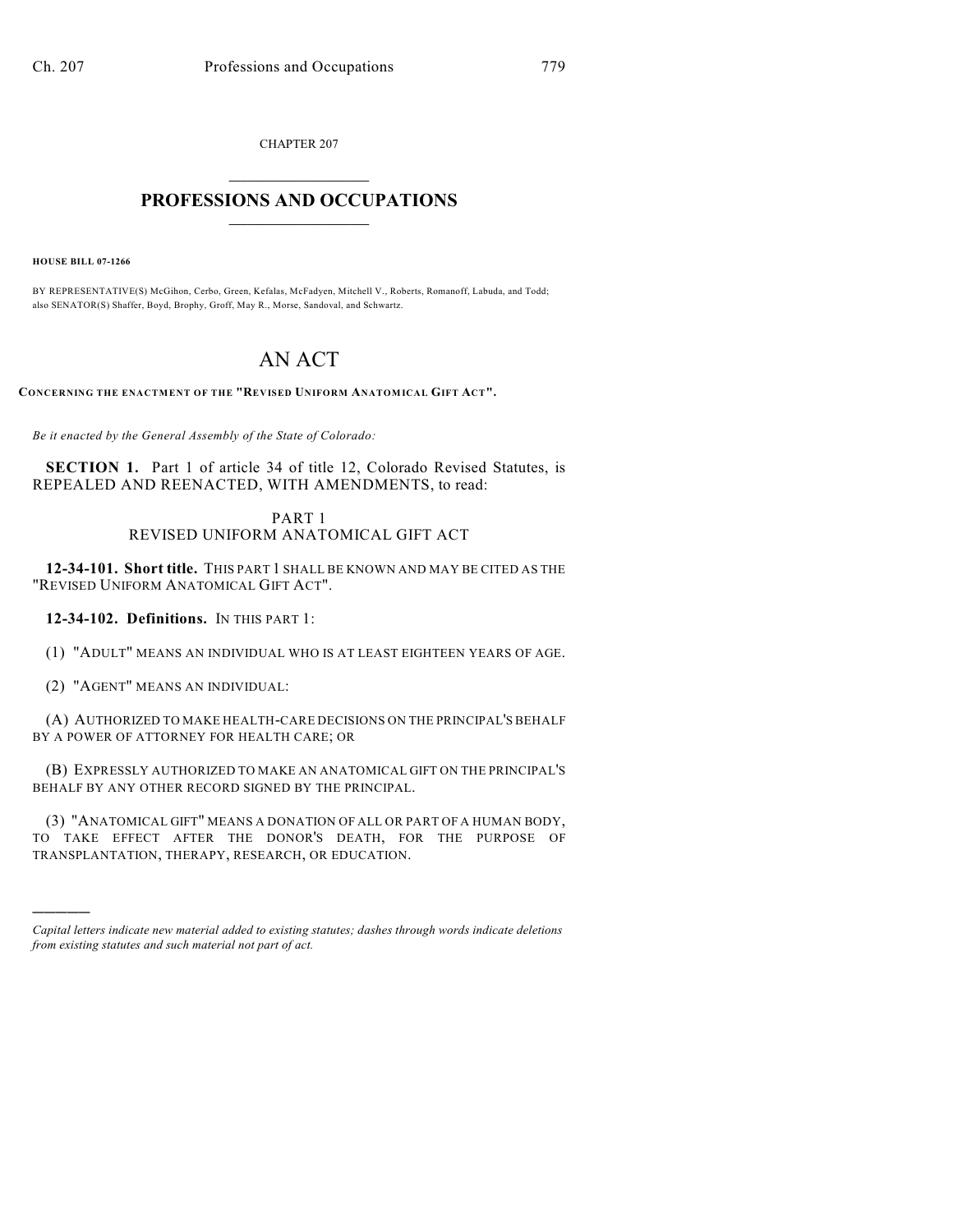CHAPTER 207  $\overline{\phantom{a}}$  . The set of the set of the set of the set of the set of the set of the set of the set of the set of the set of the set of the set of the set of the set of the set of the set of the set of the set of the set o

## **PROFESSIONS AND OCCUPATIONS**  $\frac{1}{2}$  ,  $\frac{1}{2}$  ,  $\frac{1}{2}$  ,  $\frac{1}{2}$  ,  $\frac{1}{2}$  ,  $\frac{1}{2}$

**HOUSE BILL 07-1266**

)))))

BY REPRESENTATIVE(S) McGihon, Cerbo, Green, Kefalas, McFadyen, Mitchell V., Roberts, Romanoff, Labuda, and Todd; also SENATOR(S) Shaffer, Boyd, Brophy, Groff, May R., Morse, Sandoval, and Schwartz.

## AN ACT

**CONCERNING THE ENACTMENT OF THE "REVISED UNIFORM ANATOMICAL GIFT ACT".**

*Be it enacted by the General Assembly of the State of Colorado:*

**SECTION 1.** Part 1 of article 34 of title 12, Colorado Revised Statutes, is REPEALED AND REENACTED, WITH AMENDMENTS, to read:

## PART 1 REVISED UNIFORM ANATOMICAL GIFT ACT

**12-34-101. Short title.** THIS PART 1 SHALL BE KNOWN AND MAY BE CITED AS THE "REVISED UNIFORM ANATOMICAL GIFT ACT".

**12-34-102. Definitions.** IN THIS PART 1:

(1) "ADULT" MEANS AN INDIVIDUAL WHO IS AT LEAST EIGHTEEN YEARS OF AGE.

(2) "AGENT" MEANS AN INDIVIDUAL:

(A) AUTHORIZED TO MAKE HEALTH-CARE DECISIONS ON THE PRINCIPAL'S BEHALF BY A POWER OF ATTORNEY FOR HEALTH CARE; OR

(B) EXPRESSLY AUTHORIZED TO MAKE AN ANATOMICAL GIFT ON THE PRINCIPAL'S BEHALF BY ANY OTHER RECORD SIGNED BY THE PRINCIPAL.

(3) "ANATOMICAL GIFT" MEANS A DONATION OF ALL OR PART OF A HUMAN BODY, TO TAKE EFFECT AFTER THE DONOR'S DEATH, FOR THE PURPOSE OF TRANSPLANTATION, THERAPY, RESEARCH, OR EDUCATION.

*Capital letters indicate new material added to existing statutes; dashes through words indicate deletions from existing statutes and such material not part of act.*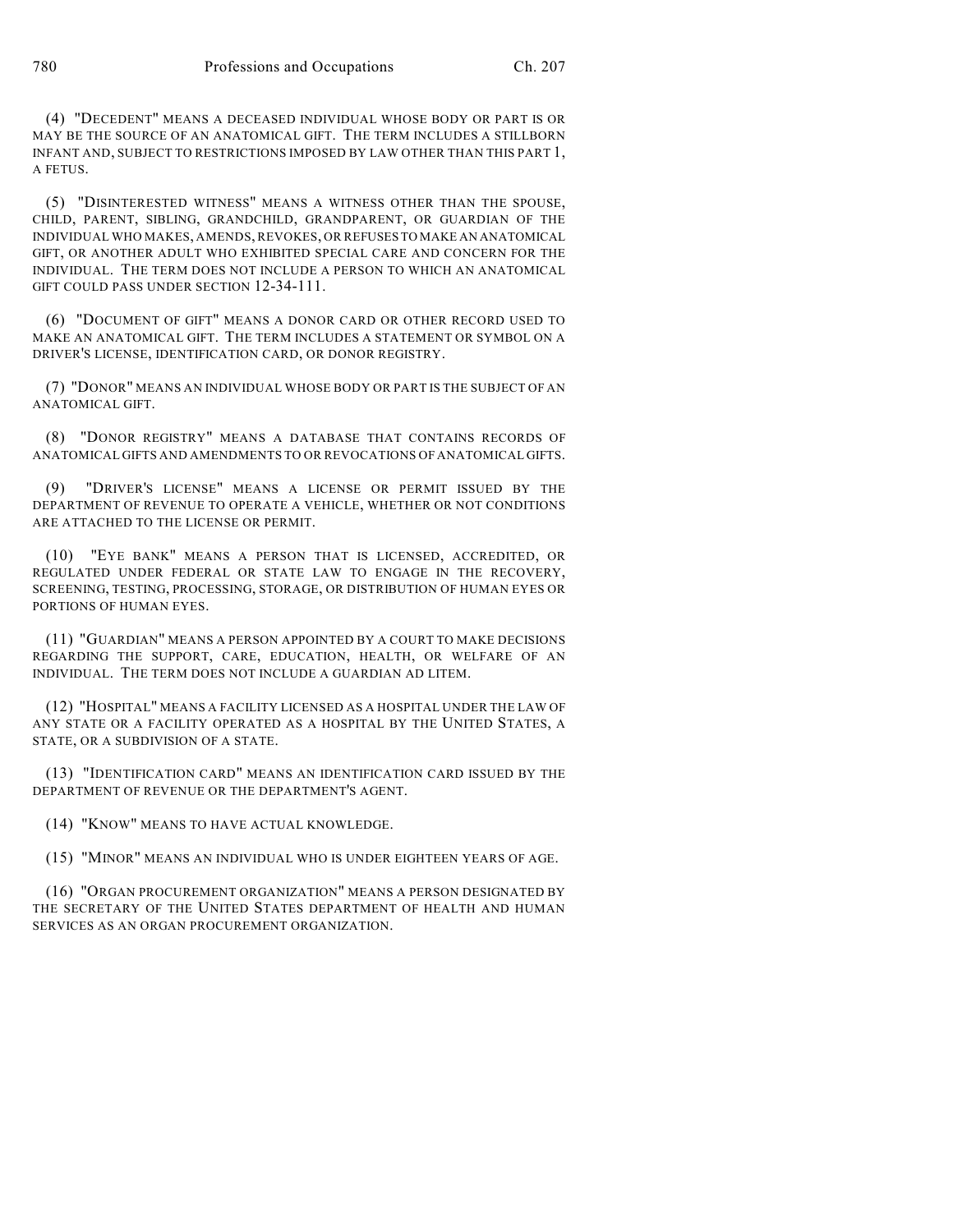(4) "DECEDENT" MEANS A DECEASED INDIVIDUAL WHOSE BODY OR PART IS OR MAY BE THE SOURCE OF AN ANATOMICAL GIFT. THE TERM INCLUDES A STILLBORN INFANT AND, SUBJECT TO RESTRICTIONS IMPOSED BY LAW OTHER THAN THIS PART 1, A FETUS.

(5) "DISINTERESTED WITNESS" MEANS A WITNESS OTHER THAN THE SPOUSE, CHILD, PARENT, SIBLING, GRANDCHILD, GRANDPARENT, OR GUARDIAN OF THE INDIVIDUAL WHO MAKES, AMENDS, REVOKES, OR REFUSES TO MAKE AN ANATOMICAL GIFT, OR ANOTHER ADULT WHO EXHIBITED SPECIAL CARE AND CONCERN FOR THE INDIVIDUAL. THE TERM DOES NOT INCLUDE A PERSON TO WHICH AN ANATOMICAL GIFT COULD PASS UNDER SECTION 12-34-111.

(6) "DOCUMENT OF GIFT" MEANS A DONOR CARD OR OTHER RECORD USED TO MAKE AN ANATOMICAL GIFT. THE TERM INCLUDES A STATEMENT OR SYMBOL ON A DRIVER'S LICENSE, IDENTIFICATION CARD, OR DONOR REGISTRY.

(7) "DONOR" MEANS AN INDIVIDUAL WHOSE BODY OR PART IS THE SUBJECT OF AN ANATOMICAL GIFT.

(8) "DONOR REGISTRY" MEANS A DATABASE THAT CONTAINS RECORDS OF ANATOMICAL GIFTS AND AMENDMENTS TO OR REVOCATIONS OF ANATOMICAL GIFTS.

(9) "DRIVER'S LICENSE" MEANS A LICENSE OR PERMIT ISSUED BY THE DEPARTMENT OF REVENUE TO OPERATE A VEHICLE, WHETHER OR NOT CONDITIONS ARE ATTACHED TO THE LICENSE OR PERMIT.

(10) "EYE BANK" MEANS A PERSON THAT IS LICENSED, ACCREDITED, OR REGULATED UNDER FEDERAL OR STATE LAW TO ENGAGE IN THE RECOVERY, SCREENING, TESTING, PROCESSING, STORAGE, OR DISTRIBUTION OF HUMAN EYES OR PORTIONS OF HUMAN EYES.

(11) "GUARDIAN" MEANS A PERSON APPOINTED BY A COURT TO MAKE DECISIONS REGARDING THE SUPPORT, CARE, EDUCATION, HEALTH, OR WELFARE OF AN INDIVIDUAL. THE TERM DOES NOT INCLUDE A GUARDIAN AD LITEM.

(12) "HOSPITAL" MEANS A FACILITY LICENSED AS A HOSPITAL UNDER THE LAW OF ANY STATE OR A FACILITY OPERATED AS A HOSPITAL BY THE UNITED STATES, A STATE, OR A SUBDIVISION OF A STATE.

(13) "IDENTIFICATION CARD" MEANS AN IDENTIFICATION CARD ISSUED BY THE DEPARTMENT OF REVENUE OR THE DEPARTMENT'S AGENT.

(14) "KNOW" MEANS TO HAVE ACTUAL KNOWLEDGE.

(15) "MINOR" MEANS AN INDIVIDUAL WHO IS UNDER EIGHTEEN YEARS OF AGE.

(16) "ORGAN PROCUREMENT ORGANIZATION" MEANS A PERSON DESIGNATED BY THE SECRETARY OF THE UNITED STATES DEPARTMENT OF HEALTH AND HUMAN SERVICES AS AN ORGAN PROCUREMENT ORGANIZATION.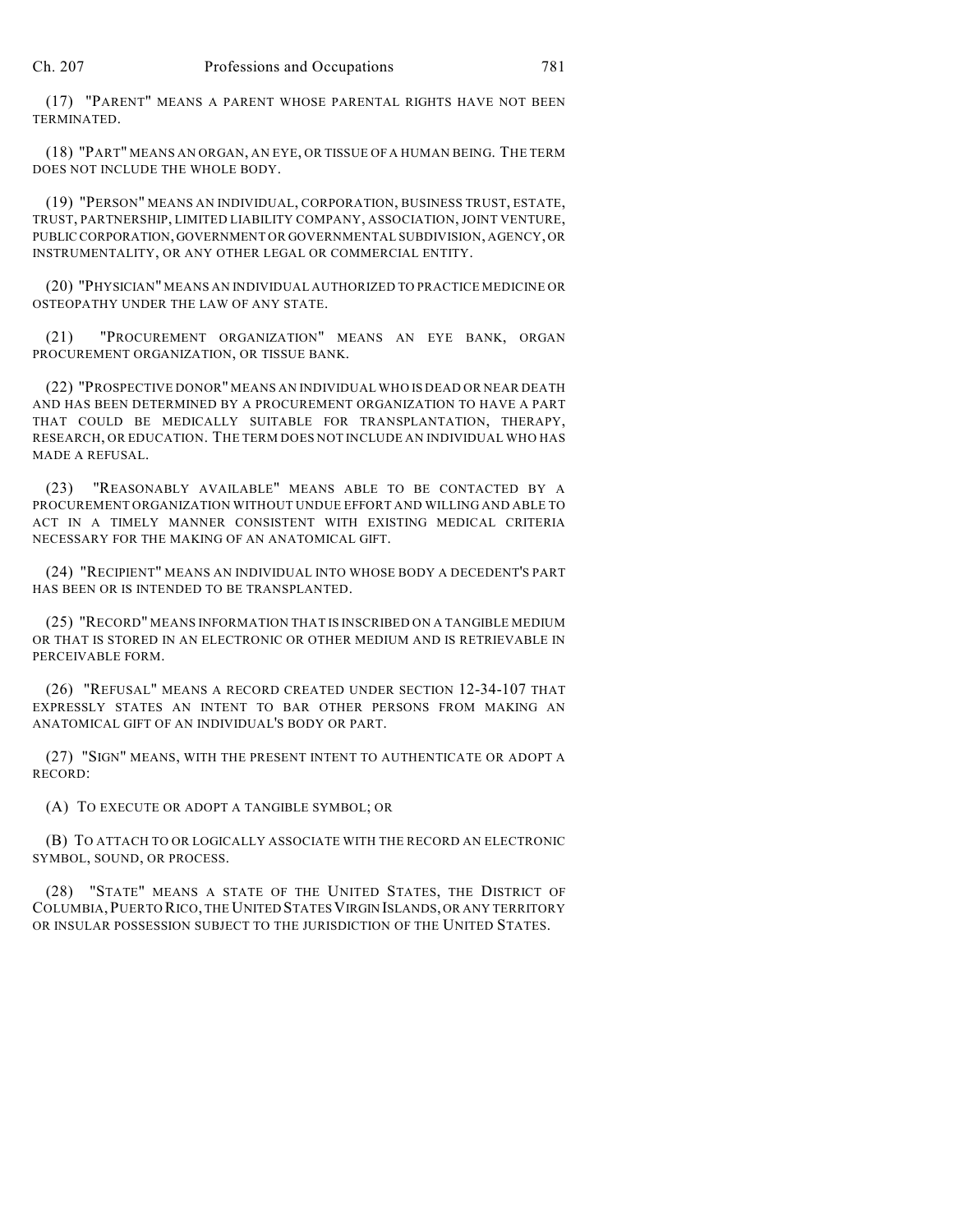(17) "PARENT" MEANS A PARENT WHOSE PARENTAL RIGHTS HAVE NOT BEEN TERMINATED.

(18) "PART" MEANS AN ORGAN, AN EYE, OR TISSUE OF A HUMAN BEING. THE TERM DOES NOT INCLUDE THE WHOLE BODY.

(19) "PERSON" MEANS AN INDIVIDUAL, CORPORATION, BUSINESS TRUST, ESTATE, TRUST, PARTNERSHIP, LIMITED LIABILITY COMPANY, ASSOCIATION, JOINT VENTURE, PUBLIC CORPORATION, GOVERNMENT OR GOVERNMENTAL SUBDIVISION, AGENCY, OR INSTRUMENTALITY, OR ANY OTHER LEGAL OR COMMERCIAL ENTITY.

(20) "PHYSICIAN" MEANS AN INDIVIDUAL AUTHORIZED TO PRACTICE MEDICINE OR OSTEOPATHY UNDER THE LAW OF ANY STATE.

(21) "PROCUREMENT ORGANIZATION" MEANS AN EYE BANK, ORGAN PROCUREMENT ORGANIZATION, OR TISSUE BANK.

(22) "PROSPECTIVE DONOR" MEANS AN INDIVIDUAL WHO IS DEAD OR NEAR DEATH AND HAS BEEN DETERMINED BY A PROCUREMENT ORGANIZATION TO HAVE A PART THAT COULD BE MEDICALLY SUITABLE FOR TRANSPLANTATION, THERAPY, RESEARCH, OR EDUCATION. THE TERM DOES NOT INCLUDE AN INDIVIDUAL WHO HAS MADE A REFUSAL.

(23) "REASONABLY AVAILABLE" MEANS ABLE TO BE CONTACTED BY A PROCUREMENT ORGANIZATION WITHOUT UNDUE EFFORT AND WILLING AND ABLE TO ACT IN A TIMELY MANNER CONSISTENT WITH EXISTING MEDICAL CRITERIA NECESSARY FOR THE MAKING OF AN ANATOMICAL GIFT.

(24) "RECIPIENT" MEANS AN INDIVIDUAL INTO WHOSE BODY A DECEDENT'S PART HAS BEEN OR IS INTENDED TO BE TRANSPLANTED.

(25) "RECORD" MEANS INFORMATION THAT IS INSCRIBED ON A TANGIBLE MEDIUM OR THAT IS STORED IN AN ELECTRONIC OR OTHER MEDIUM AND IS RETRIEVABLE IN PERCEIVABLE FORM.

(26) "REFUSAL" MEANS A RECORD CREATED UNDER SECTION 12-34-107 THAT EXPRESSLY STATES AN INTENT TO BAR OTHER PERSONS FROM MAKING AN ANATOMICAL GIFT OF AN INDIVIDUAL'S BODY OR PART.

(27) "SIGN" MEANS, WITH THE PRESENT INTENT TO AUTHENTICATE OR ADOPT A RECORD:

(A) TO EXECUTE OR ADOPT A TANGIBLE SYMBOL; OR

(B) TO ATTACH TO OR LOGICALLY ASSOCIATE WITH THE RECORD AN ELECTRONIC SYMBOL, SOUND, OR PROCESS.

(28) "STATE" MEANS A STATE OF THE UNITED STATES, THE DISTRICT OF COLUMBIA,PUERTO RICO, THE UNITED STATESVIRGIN ISLANDS, OR ANY TERRITORY OR INSULAR POSSESSION SUBJECT TO THE JURISDICTION OF THE UNITED STATES.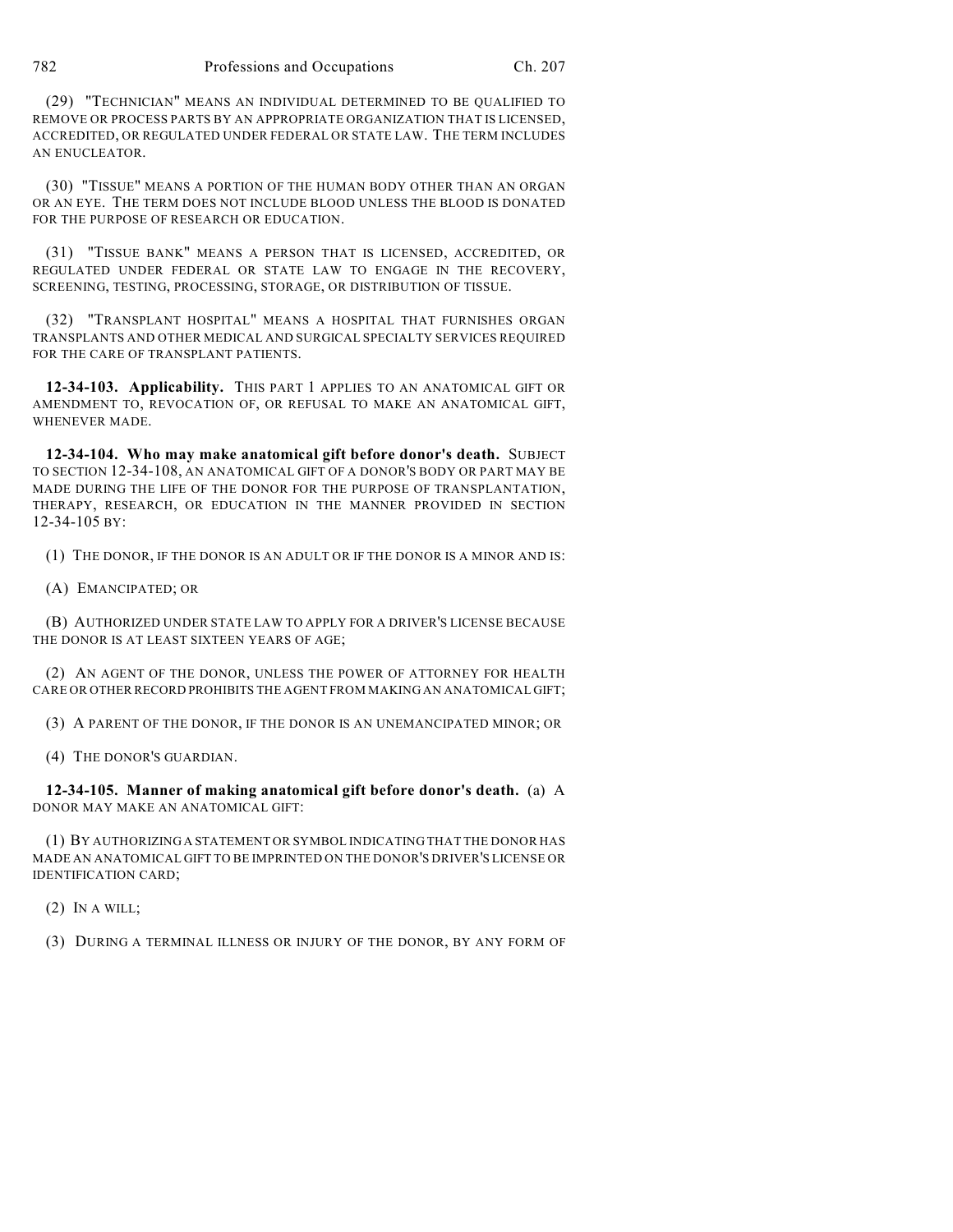(29) "TECHNICIAN" MEANS AN INDIVIDUAL DETERMINED TO BE QUALIFIED TO REMOVE OR PROCESS PARTS BY AN APPROPRIATE ORGANIZATION THAT IS LICENSED, ACCREDITED, OR REGULATED UNDER FEDERAL OR STATE LAW. THE TERM INCLUDES AN ENUCLEATOR.

(30) "TISSUE" MEANS A PORTION OF THE HUMAN BODY OTHER THAN AN ORGAN OR AN EYE. THE TERM DOES NOT INCLUDE BLOOD UNLESS THE BLOOD IS DONATED FOR THE PURPOSE OF RESEARCH OR EDUCATION.

(31) "TISSUE BANK" MEANS A PERSON THAT IS LICENSED, ACCREDITED, OR REGULATED UNDER FEDERAL OR STATE LAW TO ENGAGE IN THE RECOVERY, SCREENING, TESTING, PROCESSING, STORAGE, OR DISTRIBUTION OF TISSUE.

(32) "TRANSPLANT HOSPITAL" MEANS A HOSPITAL THAT FURNISHES ORGAN TRANSPLANTS AND OTHER MEDICAL AND SURGICAL SPECIALTY SERVICES REQUIRED FOR THE CARE OF TRANSPLANT PATIENTS.

**12-34-103. Applicability.** THIS PART 1 APPLIES TO AN ANATOMICAL GIFT OR AMENDMENT TO, REVOCATION OF, OR REFUSAL TO MAKE AN ANATOMICAL GIFT, WHENEVER MADE.

**12-34-104. Who may make anatomical gift before donor's death.** SUBJECT TO SECTION 12-34-108, AN ANATOMICAL GIFT OF A DONOR'S BODY OR PART MAY BE MADE DURING THE LIFE OF THE DONOR FOR THE PURPOSE OF TRANSPLANTATION, THERAPY, RESEARCH, OR EDUCATION IN THE MANNER PROVIDED IN SECTION 12-34-105 BY:

(1) THE DONOR, IF THE DONOR IS AN ADULT OR IF THE DONOR IS A MINOR AND IS:

(A) EMANCIPATED; OR

(B) AUTHORIZED UNDER STATE LAW TO APPLY FOR A DRIVER'S LICENSE BECAUSE THE DONOR IS AT LEAST SIXTEEN YEARS OF AGE;

(2) AN AGENT OF THE DONOR, UNLESS THE POWER OF ATTORNEY FOR HEALTH CARE OR OTHER RECORD PROHIBITS THE AGENT FROM MAKING AN ANATOMICAL GIFT;

(3) A PARENT OF THE DONOR, IF THE DONOR IS AN UNEMANCIPATED MINOR; OR

(4) THE DONOR'S GUARDIAN.

**12-34-105. Manner of making anatomical gift before donor's death.** (a) A DONOR MAY MAKE AN ANATOMICAL GIFT:

(1) BY AUTHORIZING A STATEMENT OR SYMBOL INDICATING THAT THE DONOR HAS MADE AN ANATOMICAL GIFT TO BE IMPRINTED ON THE DONOR'S DRIVER'S LICENSE OR IDENTIFICATION CARD;

(2) IN A WILL;

(3) DURING A TERMINAL ILLNESS OR INJURY OF THE DONOR, BY ANY FORM OF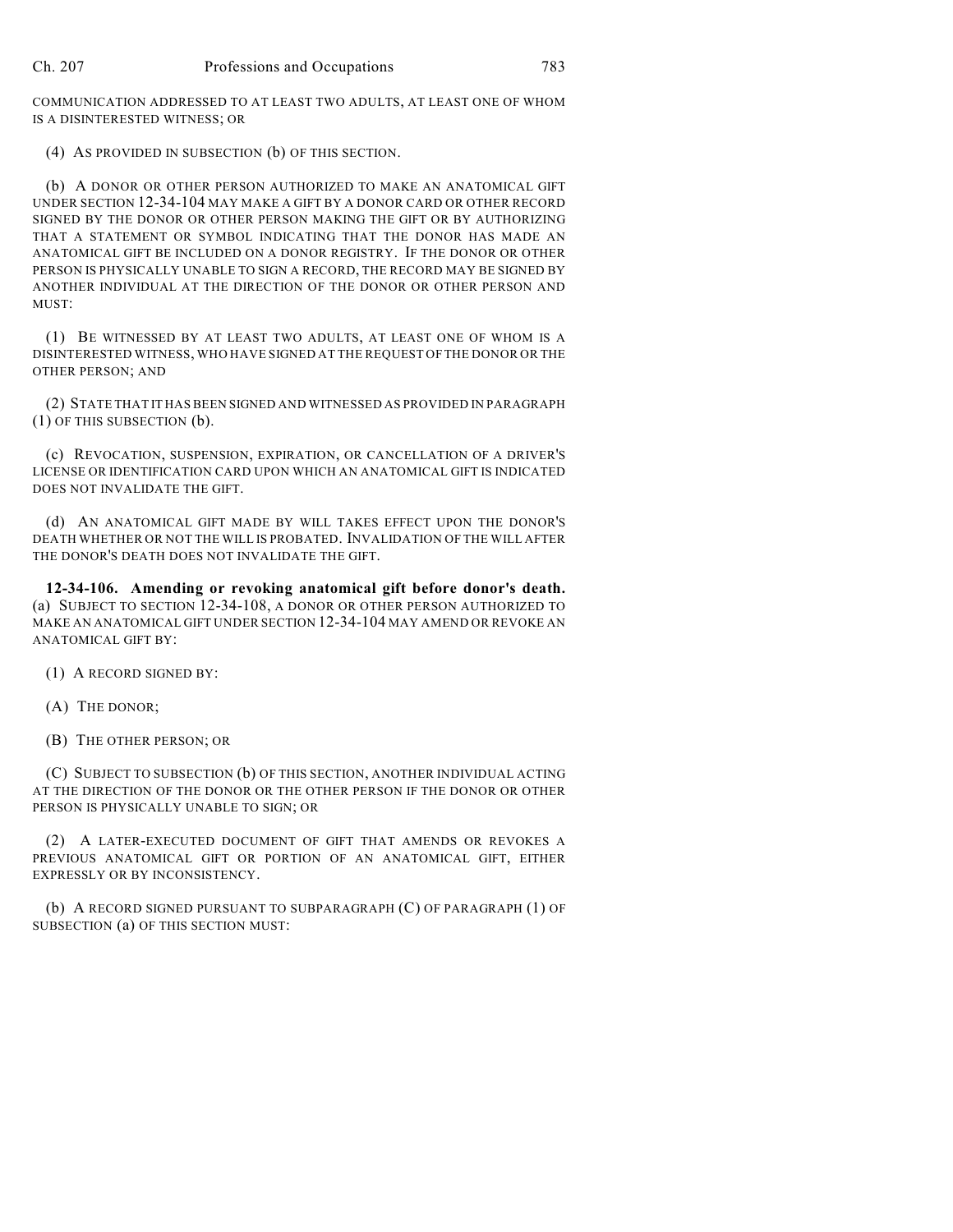COMMUNICATION ADDRESSED TO AT LEAST TWO ADULTS, AT LEAST ONE OF WHOM IS A DISINTERESTED WITNESS; OR

(4) AS PROVIDED IN SUBSECTION (b) OF THIS SECTION.

(b) A DONOR OR OTHER PERSON AUTHORIZED TO MAKE AN ANATOMICAL GIFT UNDER SECTION 12-34-104 MAY MAKE A GIFT BY A DONOR CARD OR OTHER RECORD SIGNED BY THE DONOR OR OTHER PERSON MAKING THE GIFT OR BY AUTHORIZING THAT A STATEMENT OR SYMBOL INDICATING THAT THE DONOR HAS MADE AN ANATOMICAL GIFT BE INCLUDED ON A DONOR REGISTRY. IF THE DONOR OR OTHER PERSON IS PHYSICALLY UNABLE TO SIGN A RECORD, THE RECORD MAY BE SIGNED BY ANOTHER INDIVIDUAL AT THE DIRECTION OF THE DONOR OR OTHER PERSON AND MUST:

(1) BE WITNESSED BY AT LEAST TWO ADULTS, AT LEAST ONE OF WHOM IS A DISINTERESTED WITNESS, WHO HAVE SIGNED AT THE REQUEST OF THE DONOR OR THE OTHER PERSON; AND

(2) STATE THAT IT HAS BEEN SIGNED AND WITNESSED AS PROVIDED IN PARAGRAPH (1) OF THIS SUBSECTION (b).

(c) REVOCATION, SUSPENSION, EXPIRATION, OR CANCELLATION OF A DRIVER'S LICENSE OR IDENTIFICATION CARD UPON WHICH AN ANATOMICAL GIFT IS INDICATED DOES NOT INVALIDATE THE GIFT.

(d) AN ANATOMICAL GIFT MADE BY WILL TAKES EFFECT UPON THE DONOR'S DEATH WHETHER OR NOT THE WILL IS PROBATED. INVALIDATION OF THE WILL AFTER THE DONOR'S DEATH DOES NOT INVALIDATE THE GIFT.

**12-34-106. Amending or revoking anatomical gift before donor's death.** (a) SUBJECT TO SECTION 12-34-108, A DONOR OR OTHER PERSON AUTHORIZED TO MAKE AN ANATOMICAL GIFT UNDER SECTION 12-34-104 MAY AMEND OR REVOKE AN ANATOMICAL GIFT BY:

(1) A RECORD SIGNED BY:

(A) THE DONOR;

(B) THE OTHER PERSON; OR

(C) SUBJECT TO SUBSECTION (b) OF THIS SECTION, ANOTHER INDIVIDUAL ACTING AT THE DIRECTION OF THE DONOR OR THE OTHER PERSON IF THE DONOR OR OTHER PERSON IS PHYSICALLY UNABLE TO SIGN; OR

(2) A LATER-EXECUTED DOCUMENT OF GIFT THAT AMENDS OR REVOKES A PREVIOUS ANATOMICAL GIFT OR PORTION OF AN ANATOMICAL GIFT, EITHER EXPRESSLY OR BY INCONSISTENCY.

(b) A RECORD SIGNED PURSUANT TO SUBPARAGRAPH (C) OF PARAGRAPH (1) OF SUBSECTION (a) OF THIS SECTION MUST: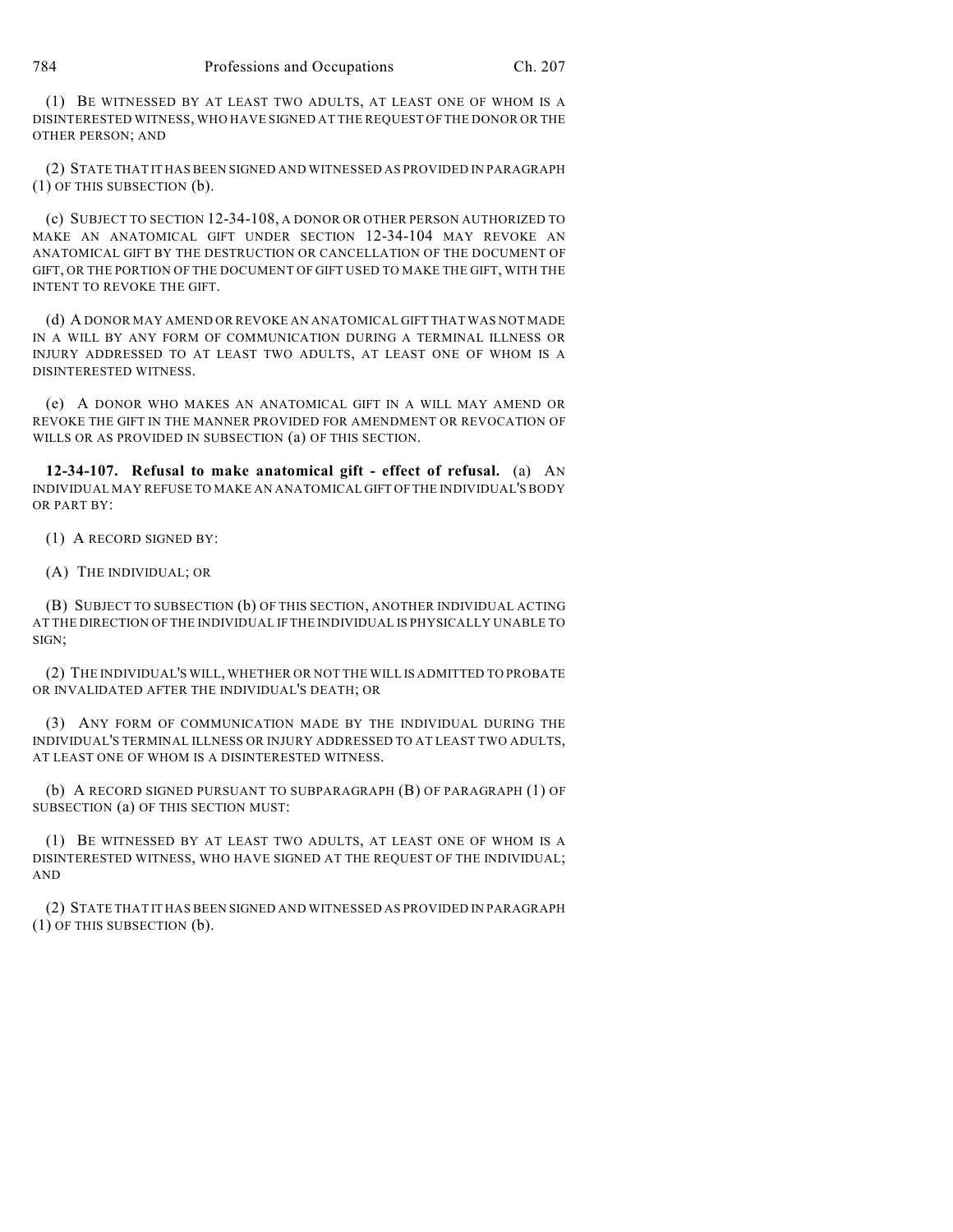(1) BE WITNESSED BY AT LEAST TWO ADULTS, AT LEAST ONE OF WHOM IS A DISINTERESTED WITNESS, WHO HAVE SIGNED AT THE REQUEST OF THE DONOR OR THE OTHER PERSON; AND

(2) STATE THAT IT HAS BEEN SIGNED AND WITNESSED AS PROVIDED IN PARAGRAPH (1) OF THIS SUBSECTION (b).

(c) SUBJECT TO SECTION 12-34-108, A DONOR OR OTHER PERSON AUTHORIZED TO MAKE AN ANATOMICAL GIFT UNDER SECTION 12-34-104 MAY REVOKE AN ANATOMICAL GIFT BY THE DESTRUCTION OR CANCELLATION OF THE DOCUMENT OF GIFT, OR THE PORTION OF THE DOCUMENT OF GIFT USED TO MAKE THE GIFT, WITH THE INTENT TO REVOKE THE GIFT.

(d) A DONOR MAY AMEND OR REVOKE AN ANATOMICAL GIFT THAT WAS NOT MADE IN A WILL BY ANY FORM OF COMMUNICATION DURING A TERMINAL ILLNESS OR INJURY ADDRESSED TO AT LEAST TWO ADULTS, AT LEAST ONE OF WHOM IS A DISINTERESTED WITNESS.

(e) A DONOR WHO MAKES AN ANATOMICAL GIFT IN A WILL MAY AMEND OR REVOKE THE GIFT IN THE MANNER PROVIDED FOR AMENDMENT OR REVOCATION OF WILLS OR AS PROVIDED IN SUBSECTION (a) OF THIS SECTION.

**12-34-107. Refusal to make anatomical gift - effect of refusal.** (a) AN INDIVIDUAL MAY REFUSE TO MAKE AN ANATOMICAL GIFT OF THE INDIVIDUAL'S BODY OR PART BY:

(1) A RECORD SIGNED BY:

(A) THE INDIVIDUAL; OR

(B) SUBJECT TO SUBSECTION (b) OF THIS SECTION, ANOTHER INDIVIDUAL ACTING AT THE DIRECTION OF THE INDIVIDUAL IF THE INDIVIDUAL IS PHYSICALLY UNABLE TO SIGN;

(2) THE INDIVIDUAL'S WILL, WHETHER OR NOT THE WILL IS ADMITTED TO PROBATE OR INVALIDATED AFTER THE INDIVIDUAL'S DEATH; OR

(3) ANY FORM OF COMMUNICATION MADE BY THE INDIVIDUAL DURING THE INDIVIDUAL'S TERMINAL ILLNESS OR INJURY ADDRESSED TO AT LEAST TWO ADULTS, AT LEAST ONE OF WHOM IS A DISINTERESTED WITNESS.

(b) A RECORD SIGNED PURSUANT TO SUBPARAGRAPH (B) OF PARAGRAPH (1) OF SUBSECTION (a) OF THIS SECTION MUST:

(1) BE WITNESSED BY AT LEAST TWO ADULTS, AT LEAST ONE OF WHOM IS A DISINTERESTED WITNESS, WHO HAVE SIGNED AT THE REQUEST OF THE INDIVIDUAL; AND

(2) STATE THAT IT HAS BEEN SIGNED AND WITNESSED AS PROVIDED IN PARAGRAPH (1) OF THIS SUBSECTION (b).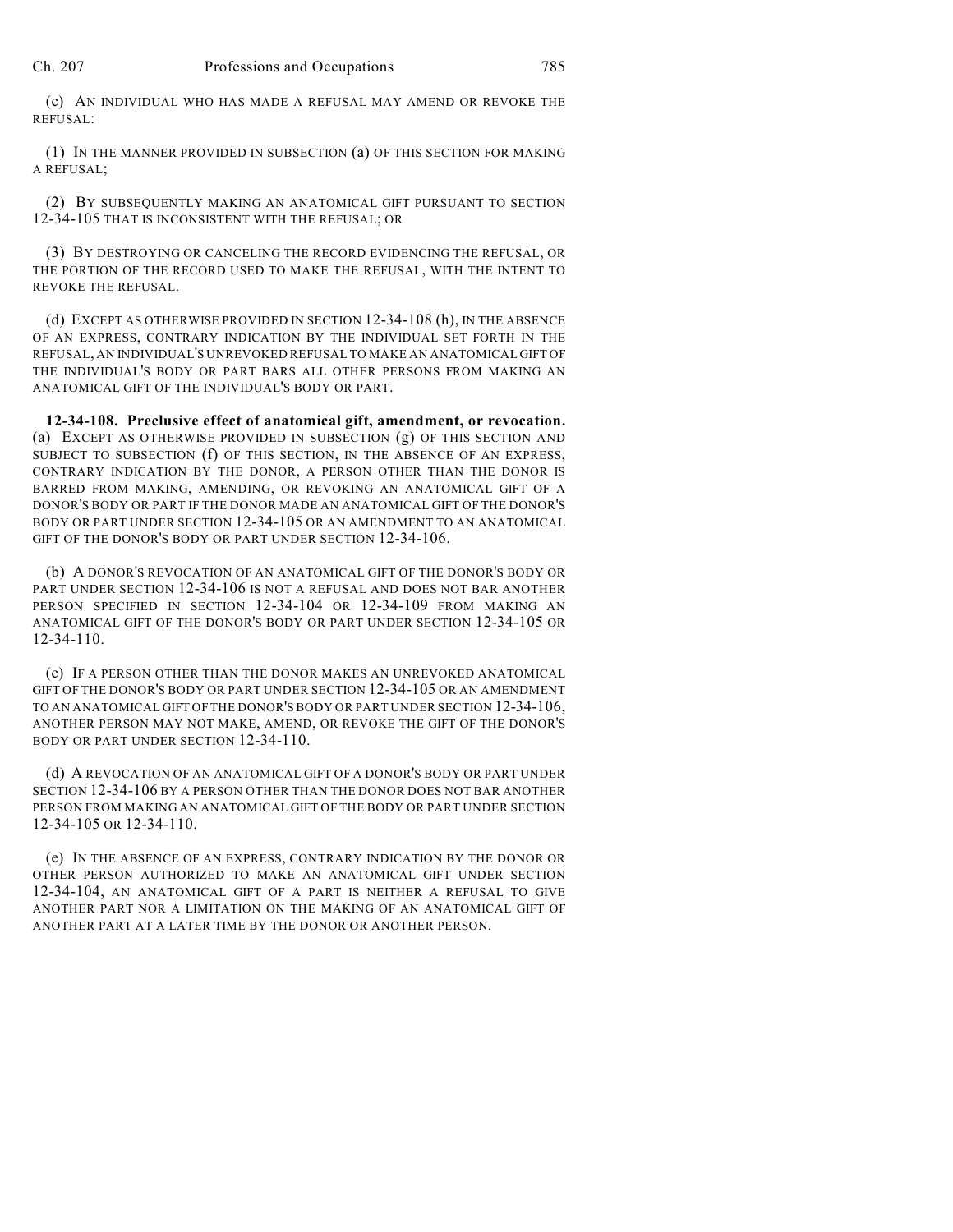(c) AN INDIVIDUAL WHO HAS MADE A REFUSAL MAY AMEND OR REVOKE THE REFUSAL:

(1) IN THE MANNER PROVIDED IN SUBSECTION (a) OF THIS SECTION FOR MAKING A REFUSAL;

(2) BY SUBSEQUENTLY MAKING AN ANATOMICAL GIFT PURSUANT TO SECTION 12-34-105 THAT IS INCONSISTENT WITH THE REFUSAL; OR

(3) BY DESTROYING OR CANCELING THE RECORD EVIDENCING THE REFUSAL, OR THE PORTION OF THE RECORD USED TO MAKE THE REFUSAL, WITH THE INTENT TO REVOKE THE REFUSAL.

(d) EXCEPT AS OTHERWISE PROVIDED IN SECTION 12-34-108 (h), IN THE ABSENCE OF AN EXPRESS, CONTRARY INDICATION BY THE INDIVIDUAL SET FORTH IN THE REFUSAL, AN INDIVIDUAL'S UNREVOKED REFUSAL TO MAKE AN ANATOMICAL GIFT OF THE INDIVIDUAL'S BODY OR PART BARS ALL OTHER PERSONS FROM MAKING AN ANATOMICAL GIFT OF THE INDIVIDUAL'S BODY OR PART.

**12-34-108. Preclusive effect of anatomical gift, amendment, or revocation.** (a) EXCEPT AS OTHERWISE PROVIDED IN SUBSECTION (g) OF THIS SECTION AND SUBJECT TO SUBSECTION (f) OF THIS SECTION, IN THE ABSENCE OF AN EXPRESS, CONTRARY INDICATION BY THE DONOR, A PERSON OTHER THAN THE DONOR IS BARRED FROM MAKING, AMENDING, OR REVOKING AN ANATOMICAL GIFT OF A DONOR'S BODY OR PART IF THE DONOR MADE AN ANATOMICAL GIFT OF THE DONOR'S BODY OR PART UNDER SECTION 12-34-105 OR AN AMENDMENT TO AN ANATOMICAL GIFT OF THE DONOR'S BODY OR PART UNDER SECTION 12-34-106.

(b) A DONOR'S REVOCATION OF AN ANATOMICAL GIFT OF THE DONOR'S BODY OR PART UNDER SECTION 12-34-106 IS NOT A REFUSAL AND DOES NOT BAR ANOTHER PERSON SPECIFIED IN SECTION 12-34-104 OR 12-34-109 FROM MAKING AN ANATOMICAL GIFT OF THE DONOR'S BODY OR PART UNDER SECTION 12-34-105 OR 12-34-110.

(c) IF A PERSON OTHER THAN THE DONOR MAKES AN UNREVOKED ANATOMICAL GIFT OF THE DONOR'S BODY OR PART UNDER SECTION 12-34-105 OR AN AMENDMENT TO AN ANATOMICAL GIFT OF THE DONOR'S BODY OR PART UNDER SECTION 12-34-106, ANOTHER PERSON MAY NOT MAKE, AMEND, OR REVOKE THE GIFT OF THE DONOR'S BODY OR PART UNDER SECTION 12-34-110.

(d) A REVOCATION OF AN ANATOMICAL GIFT OF A DONOR'S BODY OR PART UNDER SECTION 12-34-106 BY A PERSON OTHER THAN THE DONOR DOES NOT BAR ANOTHER PERSON FROM MAKING AN ANATOMICAL GIFT OF THE BODY OR PART UNDER SECTION 12-34-105 OR 12-34-110.

(e) IN THE ABSENCE OF AN EXPRESS, CONTRARY INDICATION BY THE DONOR OR OTHER PERSON AUTHORIZED TO MAKE AN ANATOMICAL GIFT UNDER SECTION 12-34-104, AN ANATOMICAL GIFT OF A PART IS NEITHER A REFUSAL TO GIVE ANOTHER PART NOR A LIMITATION ON THE MAKING OF AN ANATOMICAL GIFT OF ANOTHER PART AT A LATER TIME BY THE DONOR OR ANOTHER PERSON.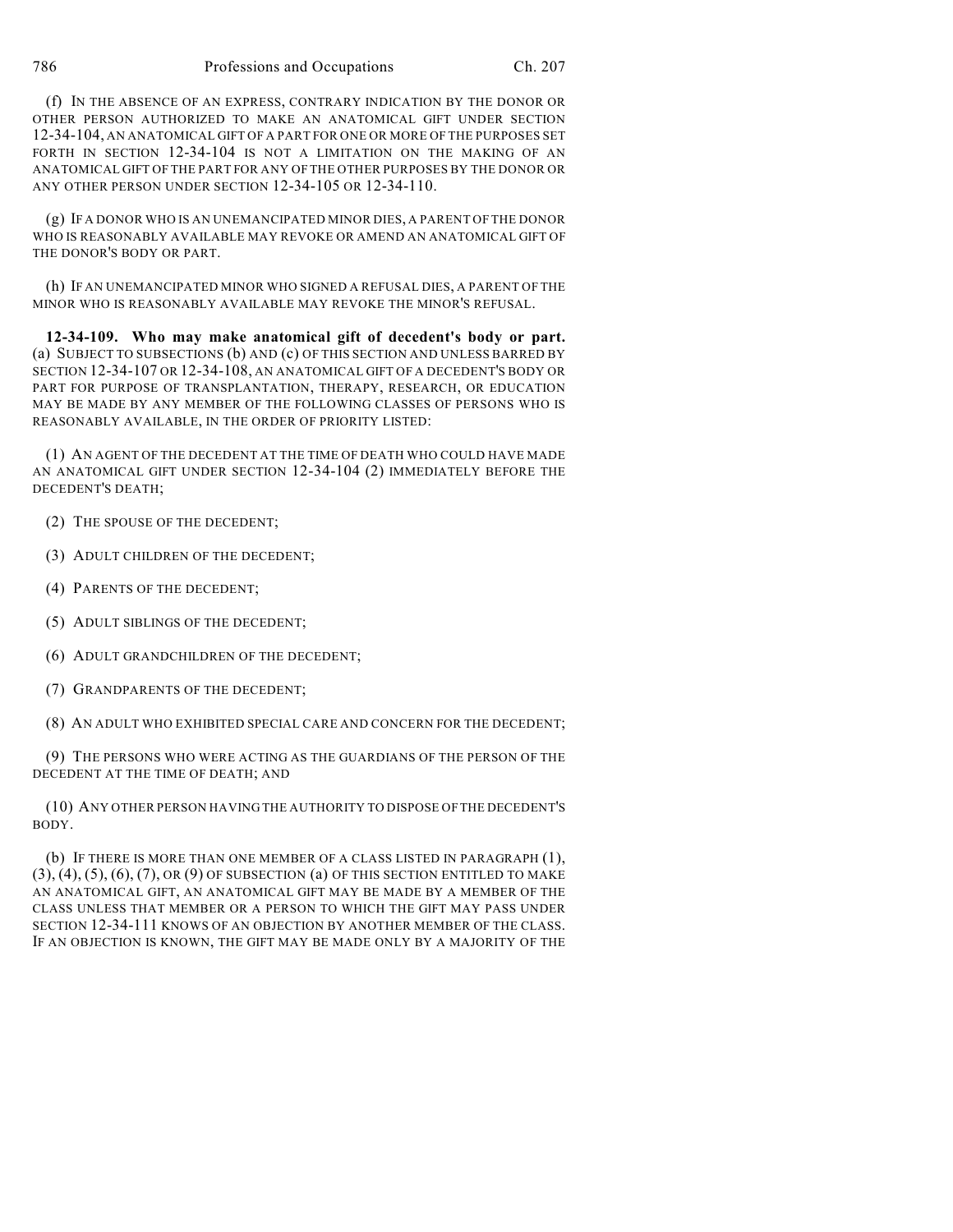(f) IN THE ABSENCE OF AN EXPRESS, CONTRARY INDICATION BY THE DONOR OR OTHER PERSON AUTHORIZED TO MAKE AN ANATOMICAL GIFT UNDER SECTION 12-34-104, AN ANATOMICAL GIFT OF A PART FOR ONE OR MORE OF THE PURPOSES SET FORTH IN SECTION 12-34-104 IS NOT A LIMITATION ON THE MAKING OF AN ANATOMICAL GIFT OF THE PART FOR ANY OF THE OTHER PURPOSES BY THE DONOR OR ANY OTHER PERSON UNDER SECTION 12-34-105 OR 12-34-110.

(g) IF A DONOR WHO IS AN UNEMANCIPATED MINOR DIES, A PARENT OF THE DONOR WHO IS REASONABLY AVAILABLE MAY REVOKE OR AMEND AN ANATOMICAL GIFT OF THE DONOR'S BODY OR PART.

(h) IF AN UNEMANCIPATED MINOR WHO SIGNED A REFUSAL DIES, A PARENT OF THE MINOR WHO IS REASONABLY AVAILABLE MAY REVOKE THE MINOR'S REFUSAL.

**12-34-109. Who may make anatomical gift of decedent's body or part.** (a) SUBJECT TO SUBSECTIONS (b) AND (c) OF THIS SECTION AND UNLESS BARRED BY SECTION 12-34-107 OR 12-34-108, AN ANATOMICAL GIFT OF A DECEDENT'S BODY OR PART FOR PURPOSE OF TRANSPLANTATION, THERAPY, RESEARCH, OR EDUCATION MAY BE MADE BY ANY MEMBER OF THE FOLLOWING CLASSES OF PERSONS WHO IS REASONABLY AVAILABLE, IN THE ORDER OF PRIORITY LISTED:

(1) AN AGENT OF THE DECEDENT AT THE TIME OF DEATH WHO COULD HAVE MADE AN ANATOMICAL GIFT UNDER SECTION 12-34-104 (2) IMMEDIATELY BEFORE THE DECEDENT'S DEATH;

- (2) THE SPOUSE OF THE DECEDENT;
- (3) ADULT CHILDREN OF THE DECEDENT;
- (4) PARENTS OF THE DECEDENT;
- (5) ADULT SIBLINGS OF THE DECEDENT;
- (6) ADULT GRANDCHILDREN OF THE DECEDENT;
- (7) GRANDPARENTS OF THE DECEDENT;
- (8) AN ADULT WHO EXHIBITED SPECIAL CARE AND CONCERN FOR THE DECEDENT;

(9) THE PERSONS WHO WERE ACTING AS THE GUARDIANS OF THE PERSON OF THE DECEDENT AT THE TIME OF DEATH; AND

(10) ANY OTHER PERSON HAVING THE AUTHORITY TO DISPOSE OF THE DECEDENT'S BODY.

(b) IF THERE IS MORE THAN ONE MEMBER OF A CLASS LISTED IN PARAGRAPH (1),  $(3), (4), (5), (6), (7),$  OR  $(9)$  OF SUBSECTION  $(a)$  OF THIS SECTION ENTITLED TO MAKE AN ANATOMICAL GIFT, AN ANATOMICAL GIFT MAY BE MADE BY A MEMBER OF THE CLASS UNLESS THAT MEMBER OR A PERSON TO WHICH THE GIFT MAY PASS UNDER SECTION 12-34-111 KNOWS OF AN OBJECTION BY ANOTHER MEMBER OF THE CLASS. IF AN OBJECTION IS KNOWN, THE GIFT MAY BE MADE ONLY BY A MAJORITY OF THE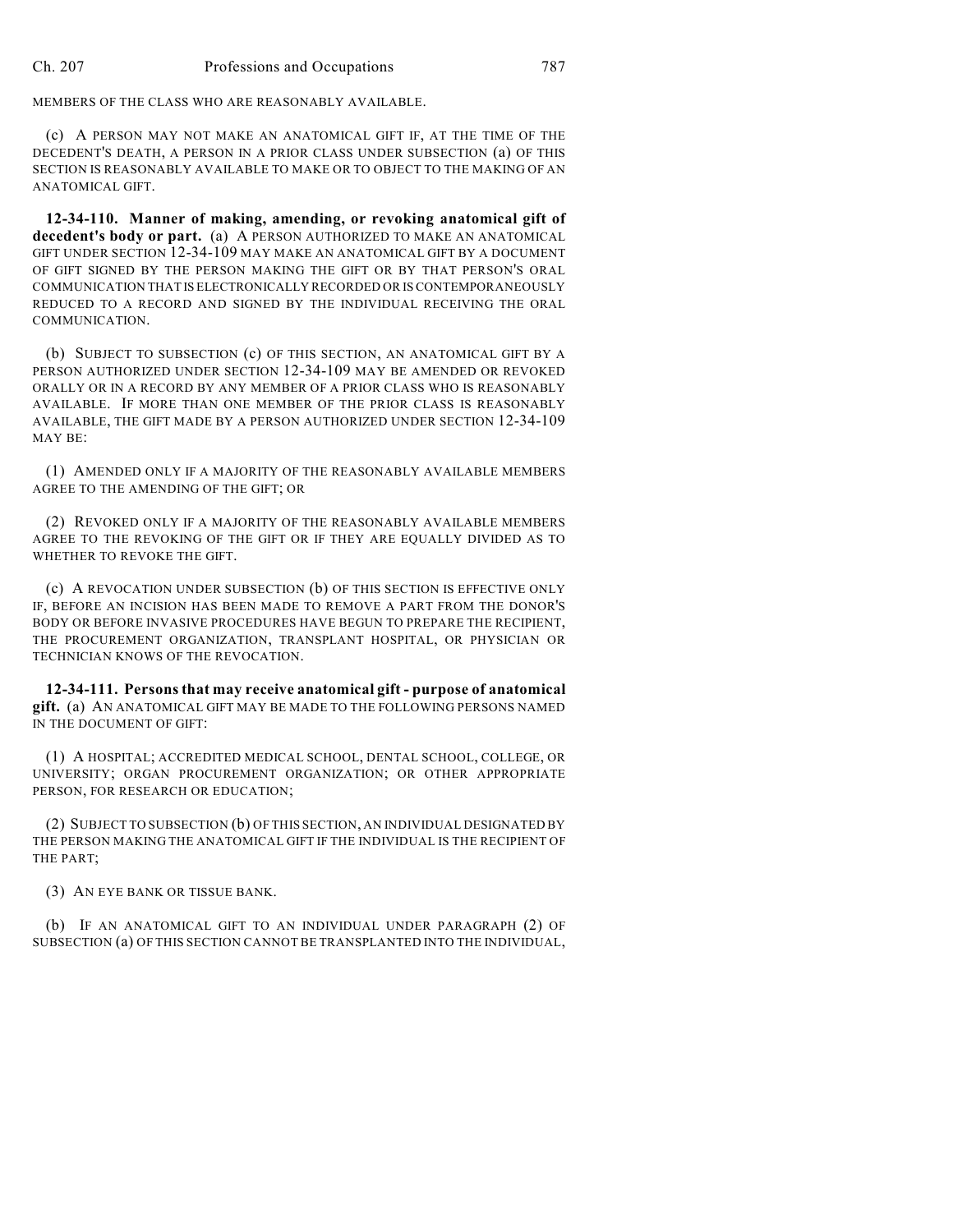MEMBERS OF THE CLASS WHO ARE REASONABLY AVAILABLE.

(c) A PERSON MAY NOT MAKE AN ANATOMICAL GIFT IF, AT THE TIME OF THE DECEDENT'S DEATH, A PERSON IN A PRIOR CLASS UNDER SUBSECTION (a) OF THIS SECTION IS REASONABLY AVAILABLE TO MAKE OR TO OBJECT TO THE MAKING OF AN ANATOMICAL GIFT.

**12-34-110. Manner of making, amending, or revoking anatomical gift of decedent's body or part.** (a) A PERSON AUTHORIZED TO MAKE AN ANATOMICAL GIFT UNDER SECTION 12-34-109 MAY MAKE AN ANATOMICAL GIFT BY A DOCUMENT OF GIFT SIGNED BY THE PERSON MAKING THE GIFT OR BY THAT PERSON'S ORAL COMMUNICATION THAT IS ELECTRONICALLY RECORDED OR IS CONTEMPORANEOUSLY REDUCED TO A RECORD AND SIGNED BY THE INDIVIDUAL RECEIVING THE ORAL COMMUNICATION.

(b) SUBJECT TO SUBSECTION (c) OF THIS SECTION, AN ANATOMICAL GIFT BY A PERSON AUTHORIZED UNDER SECTION 12-34-109 MAY BE AMENDED OR REVOKED ORALLY OR IN A RECORD BY ANY MEMBER OF A PRIOR CLASS WHO IS REASONABLY AVAILABLE. IF MORE THAN ONE MEMBER OF THE PRIOR CLASS IS REASONABLY AVAILABLE, THE GIFT MADE BY A PERSON AUTHORIZED UNDER SECTION 12-34-109 MAY BE:

(1) AMENDED ONLY IF A MAJORITY OF THE REASONABLY AVAILABLE MEMBERS AGREE TO THE AMENDING OF THE GIFT; OR

(2) REVOKED ONLY IF A MAJORITY OF THE REASONABLY AVAILABLE MEMBERS AGREE TO THE REVOKING OF THE GIFT OR IF THEY ARE EQUALLY DIVIDED AS TO WHETHER TO REVOKE THE GIFT.

(c) A REVOCATION UNDER SUBSECTION (b) OF THIS SECTION IS EFFECTIVE ONLY IF, BEFORE AN INCISION HAS BEEN MADE TO REMOVE A PART FROM THE DONOR'S BODY OR BEFORE INVASIVE PROCEDURES HAVE BEGUN TO PREPARE THE RECIPIENT, THE PROCUREMENT ORGANIZATION, TRANSPLANT HOSPITAL, OR PHYSICIAN OR TECHNICIAN KNOWS OF THE REVOCATION.

**12-34-111. Persons that may receive anatomical gift - purpose of anatomical gift.** (a) AN ANATOMICAL GIFT MAY BE MADE TO THE FOLLOWING PERSONS NAMED IN THE DOCUMENT OF GIFT:

(1) A HOSPITAL; ACCREDITED MEDICAL SCHOOL, DENTAL SCHOOL, COLLEGE, OR UNIVERSITY; ORGAN PROCUREMENT ORGANIZATION; OR OTHER APPROPRIATE PERSON, FOR RESEARCH OR EDUCATION;

(2) SUBJECT TO SUBSECTION (b) OF THIS SECTION, AN INDIVIDUAL DESIGNATED BY THE PERSON MAKING THE ANATOMICAL GIFT IF THE INDIVIDUAL IS THE RECIPIENT OF THE PART;

(3) AN EYE BANK OR TISSUE BANK.

(b) IF AN ANATOMICAL GIFT TO AN INDIVIDUAL UNDER PARAGRAPH (2) OF SUBSECTION (a) OF THIS SECTION CANNOT BE TRANSPLANTED INTO THE INDIVIDUAL,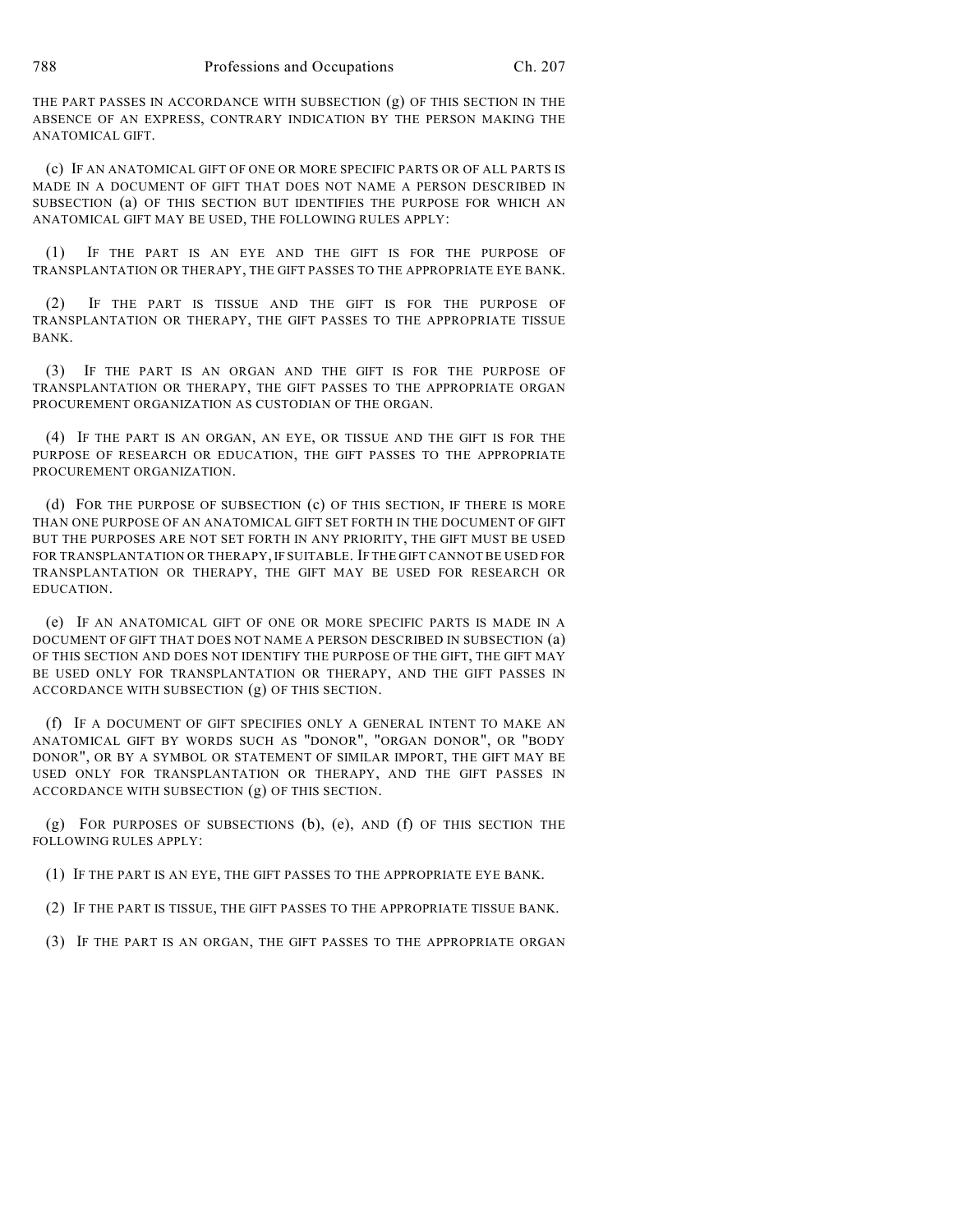THE PART PASSES IN ACCORDANCE WITH SUBSECTION (g) OF THIS SECTION IN THE ABSENCE OF AN EXPRESS, CONTRARY INDICATION BY THE PERSON MAKING THE ANATOMICAL GIFT.

(c) IF AN ANATOMICAL GIFT OF ONE OR MORE SPECIFIC PARTS OR OF ALL PARTS IS MADE IN A DOCUMENT OF GIFT THAT DOES NOT NAME A PERSON DESCRIBED IN SUBSECTION (a) OF THIS SECTION BUT IDENTIFIES THE PURPOSE FOR WHICH AN ANATOMICAL GIFT MAY BE USED, THE FOLLOWING RULES APPLY:

(1) IF THE PART IS AN EYE AND THE GIFT IS FOR THE PURPOSE OF TRANSPLANTATION OR THERAPY, THE GIFT PASSES TO THE APPROPRIATE EYE BANK.

(2) IF THE PART IS TISSUE AND THE GIFT IS FOR THE PURPOSE OF TRANSPLANTATION OR THERAPY, THE GIFT PASSES TO THE APPROPRIATE TISSUE BANK.

(3) IF THE PART IS AN ORGAN AND THE GIFT IS FOR THE PURPOSE OF TRANSPLANTATION OR THERAPY, THE GIFT PASSES TO THE APPROPRIATE ORGAN PROCUREMENT ORGANIZATION AS CUSTODIAN OF THE ORGAN.

(4) IF THE PART IS AN ORGAN, AN EYE, OR TISSUE AND THE GIFT IS FOR THE PURPOSE OF RESEARCH OR EDUCATION, THE GIFT PASSES TO THE APPROPRIATE PROCUREMENT ORGANIZATION.

(d) FOR THE PURPOSE OF SUBSECTION (c) OF THIS SECTION, IF THERE IS MORE THAN ONE PURPOSE OF AN ANATOMICAL GIFT SET FORTH IN THE DOCUMENT OF GIFT BUT THE PURPOSES ARE NOT SET FORTH IN ANY PRIORITY, THE GIFT MUST BE USED FOR TRANSPLANTATION OR THERAPY, IF SUITABLE. IFTHE GIFT CANNOT BE USED FOR TRANSPLANTATION OR THERAPY, THE GIFT MAY BE USED FOR RESEARCH OR EDUCATION.

(e) IF AN ANATOMICAL GIFT OF ONE OR MORE SPECIFIC PARTS IS MADE IN A DOCUMENT OF GIFT THAT DOES NOT NAME A PERSON DESCRIBED IN SUBSECTION (a) OF THIS SECTION AND DOES NOT IDENTIFY THE PURPOSE OF THE GIFT, THE GIFT MAY BE USED ONLY FOR TRANSPLANTATION OR THERAPY, AND THE GIFT PASSES IN ACCORDANCE WITH SUBSECTION (g) OF THIS SECTION.

(f) IF A DOCUMENT OF GIFT SPECIFIES ONLY A GENERAL INTENT TO MAKE AN ANATOMICAL GIFT BY WORDS SUCH AS "DONOR", "ORGAN DONOR", OR "BODY DONOR", OR BY A SYMBOL OR STATEMENT OF SIMILAR IMPORT, THE GIFT MAY BE USED ONLY FOR TRANSPLANTATION OR THERAPY, AND THE GIFT PASSES IN ACCORDANCE WITH SUBSECTION (g) OF THIS SECTION.

 $(g)$  FOR PURPOSES OF SUBSECTIONS  $(b)$ ,  $(e)$ , AND  $(f)$  OF THIS SECTION THE FOLLOWING RULES APPLY:

(1) IF THE PART IS AN EYE, THE GIFT PASSES TO THE APPROPRIATE EYE BANK.

(2) IF THE PART IS TISSUE, THE GIFT PASSES TO THE APPROPRIATE TISSUE BANK.

(3) IF THE PART IS AN ORGAN, THE GIFT PASSES TO THE APPROPRIATE ORGAN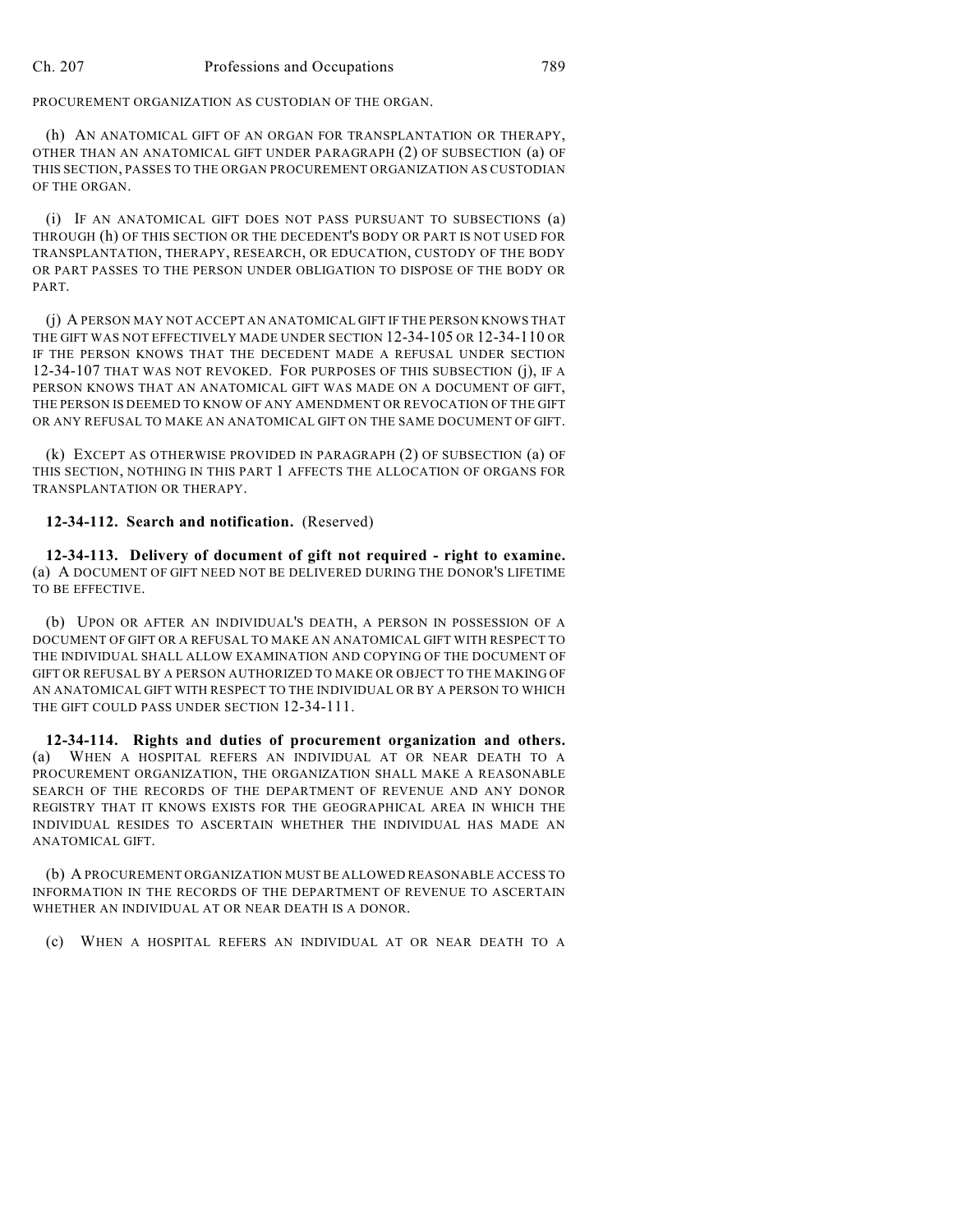PROCUREMENT ORGANIZATION AS CUSTODIAN OF THE ORGAN.

(h) AN ANATOMICAL GIFT OF AN ORGAN FOR TRANSPLANTATION OR THERAPY, OTHER THAN AN ANATOMICAL GIFT UNDER PARAGRAPH (2) OF SUBSECTION (a) OF THIS SECTION, PASSES TO THE ORGAN PROCUREMENT ORGANIZATION AS CUSTODIAN OF THE ORGAN.

(i) IF AN ANATOMICAL GIFT DOES NOT PASS PURSUANT TO SUBSECTIONS (a) THROUGH (h) OF THIS SECTION OR THE DECEDENT'S BODY OR PART IS NOT USED FOR TRANSPLANTATION, THERAPY, RESEARCH, OR EDUCATION, CUSTODY OF THE BODY OR PART PASSES TO THE PERSON UNDER OBLIGATION TO DISPOSE OF THE BODY OR PART.

(j) A PERSON MAY NOT ACCEPT AN ANATOMICAL GIFT IF THE PERSON KNOWS THAT THE GIFT WAS NOT EFFECTIVELY MADE UNDER SECTION 12-34-105 OR 12-34-110 OR IF THE PERSON KNOWS THAT THE DECEDENT MADE A REFUSAL UNDER SECTION 12-34-107 THAT WAS NOT REVOKED. FOR PURPOSES OF THIS SUBSECTION (j), IF A PERSON KNOWS THAT AN ANATOMICAL GIFT WAS MADE ON A DOCUMENT OF GIFT, THE PERSON IS DEEMED TO KNOW OF ANY AMENDMENT OR REVOCATION OF THE GIFT OR ANY REFUSAL TO MAKE AN ANATOMICAL GIFT ON THE SAME DOCUMENT OF GIFT.

(k) EXCEPT AS OTHERWISE PROVIDED IN PARAGRAPH (2) OF SUBSECTION (a) OF THIS SECTION, NOTHING IN THIS PART 1 AFFECTS THE ALLOCATION OF ORGANS FOR TRANSPLANTATION OR THERAPY.

## **12-34-112. Search and notification.** (Reserved)

**12-34-113. Delivery of document of gift not required - right to examine.** (a) A DOCUMENT OF GIFT NEED NOT BE DELIVERED DURING THE DONOR'S LIFETIME TO BE EFFECTIVE.

(b) UPON OR AFTER AN INDIVIDUAL'S DEATH, A PERSON IN POSSESSION OF A DOCUMENT OF GIFT OR A REFUSAL TO MAKE AN ANATOMICAL GIFT WITH RESPECT TO THE INDIVIDUAL SHALL ALLOW EXAMINATION AND COPYING OF THE DOCUMENT OF GIFT OR REFUSAL BY A PERSON AUTHORIZED TO MAKE OR OBJECT TO THE MAKING OF AN ANATOMICAL GIFT WITH RESPECT TO THE INDIVIDUAL OR BY A PERSON TO WHICH THE GIFT COULD PASS UNDER SECTION 12-34-111.

**12-34-114. Rights and duties of procurement organization and others.** (a) WHEN A HOSPITAL REFERS AN INDIVIDUAL AT OR NEAR DEATH TO A PROCUREMENT ORGANIZATION, THE ORGANIZATION SHALL MAKE A REASONABLE SEARCH OF THE RECORDS OF THE DEPARTMENT OF REVENUE AND ANY DONOR REGISTRY THAT IT KNOWS EXISTS FOR THE GEOGRAPHICAL AREA IN WHICH THE INDIVIDUAL RESIDES TO ASCERTAIN WHETHER THE INDIVIDUAL HAS MADE AN ANATOMICAL GIFT.

(b) A PROCUREMENT ORGANIZATION MUST BE ALLOWED REASONABLE ACCESS TO INFORMATION IN THE RECORDS OF THE DEPARTMENT OF REVENUE TO ASCERTAIN WHETHER AN INDIVIDUAL AT OR NEAR DEATH IS A DONOR.

(c) WHEN A HOSPITAL REFERS AN INDIVIDUAL AT OR NEAR DEATH TO A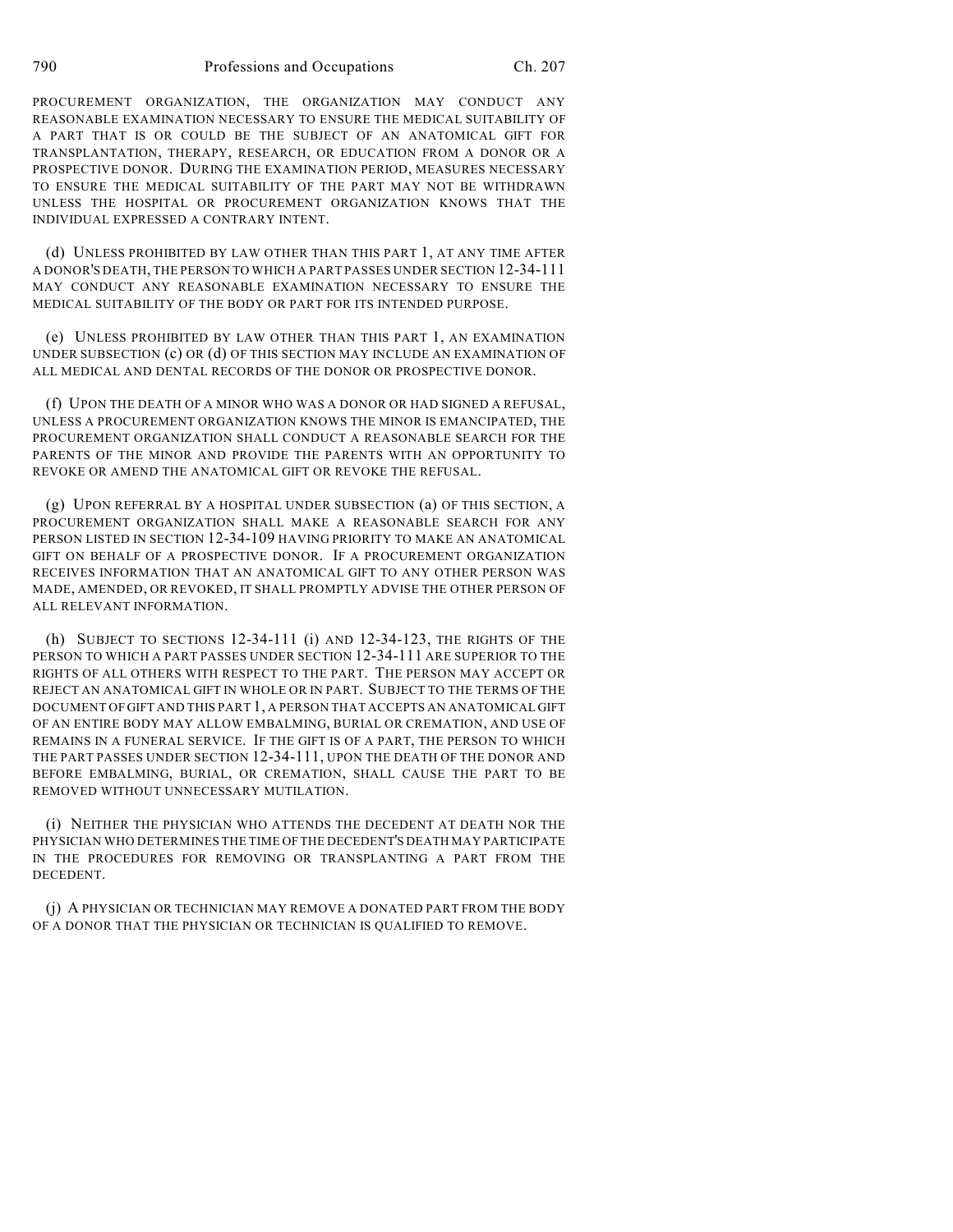790 Professions and Occupations Ch. 207

PROCUREMENT ORGANIZATION, THE ORGANIZATION MAY CONDUCT ANY REASONABLE EXAMINATION NECESSARY TO ENSURE THE MEDICAL SUITABILITY OF A PART THAT IS OR COULD BE THE SUBJECT OF AN ANATOMICAL GIFT FOR TRANSPLANTATION, THERAPY, RESEARCH, OR EDUCATION FROM A DONOR OR A PROSPECTIVE DONOR. DURING THE EXAMINATION PERIOD, MEASURES NECESSARY TO ENSURE THE MEDICAL SUITABILITY OF THE PART MAY NOT BE WITHDRAWN UNLESS THE HOSPITAL OR PROCUREMENT ORGANIZATION KNOWS THAT THE INDIVIDUAL EXPRESSED A CONTRARY INTENT.

(d) UNLESS PROHIBITED BY LAW OTHER THAN THIS PART 1, AT ANY TIME AFTER A DONOR'S DEATH, THE PERSON TO WHICH A PART PASSES UNDER SECTION 12-34-111 MAY CONDUCT ANY REASONABLE EXAMINATION NECESSARY TO ENSURE THE MEDICAL SUITABILITY OF THE BODY OR PART FOR ITS INTENDED PURPOSE.

(e) UNLESS PROHIBITED BY LAW OTHER THAN THIS PART 1, AN EXAMINATION UNDER SUBSECTION (c) OR (d) OF THIS SECTION MAY INCLUDE AN EXAMINATION OF ALL MEDICAL AND DENTAL RECORDS OF THE DONOR OR PROSPECTIVE DONOR.

(f) UPON THE DEATH OF A MINOR WHO WAS A DONOR OR HAD SIGNED A REFUSAL, UNLESS A PROCUREMENT ORGANIZATION KNOWS THE MINOR IS EMANCIPATED, THE PROCUREMENT ORGANIZATION SHALL CONDUCT A REASONABLE SEARCH FOR THE PARENTS OF THE MINOR AND PROVIDE THE PARENTS WITH AN OPPORTUNITY TO REVOKE OR AMEND THE ANATOMICAL GIFT OR REVOKE THE REFUSAL.

(g) UPON REFERRAL BY A HOSPITAL UNDER SUBSECTION (a) OF THIS SECTION, A PROCUREMENT ORGANIZATION SHALL MAKE A REASONABLE SEARCH FOR ANY PERSON LISTED IN SECTION 12-34-109 HAVING PRIORITY TO MAKE AN ANATOMICAL GIFT ON BEHALF OF A PROSPECTIVE DONOR. IF A PROCUREMENT ORGANIZATION RECEIVES INFORMATION THAT AN ANATOMICAL GIFT TO ANY OTHER PERSON WAS MADE, AMENDED, OR REVOKED, IT SHALL PROMPTLY ADVISE THE OTHER PERSON OF ALL RELEVANT INFORMATION.

(h) SUBJECT TO SECTIONS 12-34-111 (i) AND 12-34-123, THE RIGHTS OF THE PERSON TO WHICH A PART PASSES UNDER SECTION 12-34-111 ARE SUPERIOR TO THE RIGHTS OF ALL OTHERS WITH RESPECT TO THE PART. THE PERSON MAY ACCEPT OR REJECT AN ANATOMICAL GIFT IN WHOLE OR IN PART. SUBJECT TO THE TERMS OF THE DOCUMENT OF GIFT AND THIS PART 1, A PERSON THAT ACCEPTS AN ANATOMICAL GIFT OF AN ENTIRE BODY MAY ALLOW EMBALMING, BURIAL OR CREMATION, AND USE OF REMAINS IN A FUNERAL SERVICE. IF THE GIFT IS OF A PART, THE PERSON TO WHICH THE PART PASSES UNDER SECTION 12-34-111, UPON THE DEATH OF THE DONOR AND BEFORE EMBALMING, BURIAL, OR CREMATION, SHALL CAUSE THE PART TO BE REMOVED WITHOUT UNNECESSARY MUTILATION.

(i) NEITHER THE PHYSICIAN WHO ATTENDS THE DECEDENT AT DEATH NOR THE PHYSICIAN WHO DETERMINES THE TIME OF THE DECEDENT'S DEATH MAY PARTICIPATE IN THE PROCEDURES FOR REMOVING OR TRANSPLANTING A PART FROM THE DECEDENT.

(j) A PHYSICIAN OR TECHNICIAN MAY REMOVE A DONATED PART FROM THE BODY OF A DONOR THAT THE PHYSICIAN OR TECHNICIAN IS QUALIFIED TO REMOVE.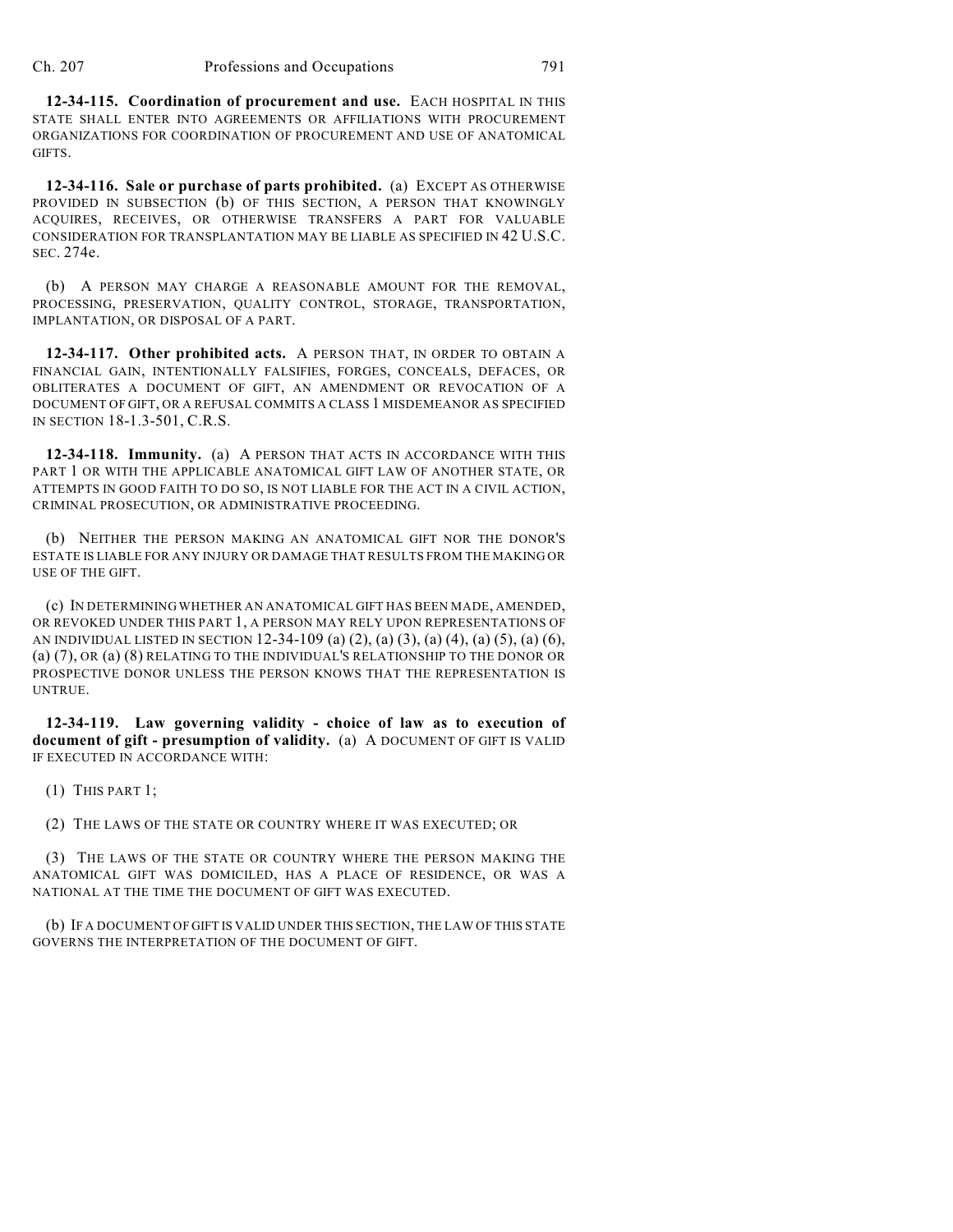**12-34-115. Coordination of procurement and use.** EACH HOSPITAL IN THIS STATE SHALL ENTER INTO AGREEMENTS OR AFFILIATIONS WITH PROCUREMENT ORGANIZATIONS FOR COORDINATION OF PROCUREMENT AND USE OF ANATOMICAL GIFTS.

**12-34-116. Sale or purchase of parts prohibited.** (a) EXCEPT AS OTHERWISE PROVIDED IN SUBSECTION (b) OF THIS SECTION, A PERSON THAT KNOWINGLY ACQUIRES, RECEIVES, OR OTHERWISE TRANSFERS A PART FOR VALUABLE CONSIDERATION FOR TRANSPLANTATION MAY BE LIABLE AS SPECIFIED IN 42 U.S.C. SEC. 274e.

(b) A PERSON MAY CHARGE A REASONABLE AMOUNT FOR THE REMOVAL, PROCESSING, PRESERVATION, QUALITY CONTROL, STORAGE, TRANSPORTATION, IMPLANTATION, OR DISPOSAL OF A PART.

**12-34-117. Other prohibited acts.** A PERSON THAT, IN ORDER TO OBTAIN A FINANCIAL GAIN, INTENTIONALLY FALSIFIES, FORGES, CONCEALS, DEFACES, OR OBLITERATES A DOCUMENT OF GIFT, AN AMENDMENT OR REVOCATION OF A DOCUMENT OF GIFT, OR A REFUSAL COMMITS A CLASS 1 MISDEMEANOR AS SPECIFIED IN SECTION 18-1.3-501, C.R.S.

**12-34-118. Immunity.** (a) A PERSON THAT ACTS IN ACCORDANCE WITH THIS PART 1 OR WITH THE APPLICABLE ANATOMICAL GIFT LAW OF ANOTHER STATE, OR ATTEMPTS IN GOOD FAITH TO DO SO, IS NOT LIABLE FOR THE ACT IN A CIVIL ACTION, CRIMINAL PROSECUTION, OR ADMINISTRATIVE PROCEEDING.

(b) NEITHER THE PERSON MAKING AN ANATOMICAL GIFT NOR THE DONOR'S ESTATE IS LIABLE FOR ANY INJURY OR DAMAGE THAT RESULTS FROM THE MAKING OR USE OF THE GIFT.

(c) IN DETERMINING WHETHER AN ANATOMICAL GIFT HAS BEEN MADE, AMENDED, OR REVOKED UNDER THIS PART 1, A PERSON MAY RELY UPON REPRESENTATIONS OF AN INDIVIDUAL LISTED IN SECTION 12-34-109 (a) (2), (a) (3), (a) (4), (a) (5), (a) (6), (a) (7), OR (a) (8) RELATING TO THE INDIVIDUAL'S RELATIONSHIP TO THE DONOR OR PROSPECTIVE DONOR UNLESS THE PERSON KNOWS THAT THE REPRESENTATION IS UNTRUE.

**12-34-119. Law governing validity - choice of law as to execution of document of gift - presumption of validity.** (a) A DOCUMENT OF GIFT IS VALID IF EXECUTED IN ACCORDANCE WITH:

(1) THIS PART 1;

(2) THE LAWS OF THE STATE OR COUNTRY WHERE IT WAS EXECUTED; OR

(3) THE LAWS OF THE STATE OR COUNTRY WHERE THE PERSON MAKING THE ANATOMICAL GIFT WAS DOMICILED, HAS A PLACE OF RESIDENCE, OR WAS A NATIONAL AT THE TIME THE DOCUMENT OF GIFT WAS EXECUTED.

(b) IF A DOCUMENT OF GIFT IS VALID UNDER THIS SECTION, THE LAW OF THIS STATE GOVERNS THE INTERPRETATION OF THE DOCUMENT OF GIFT.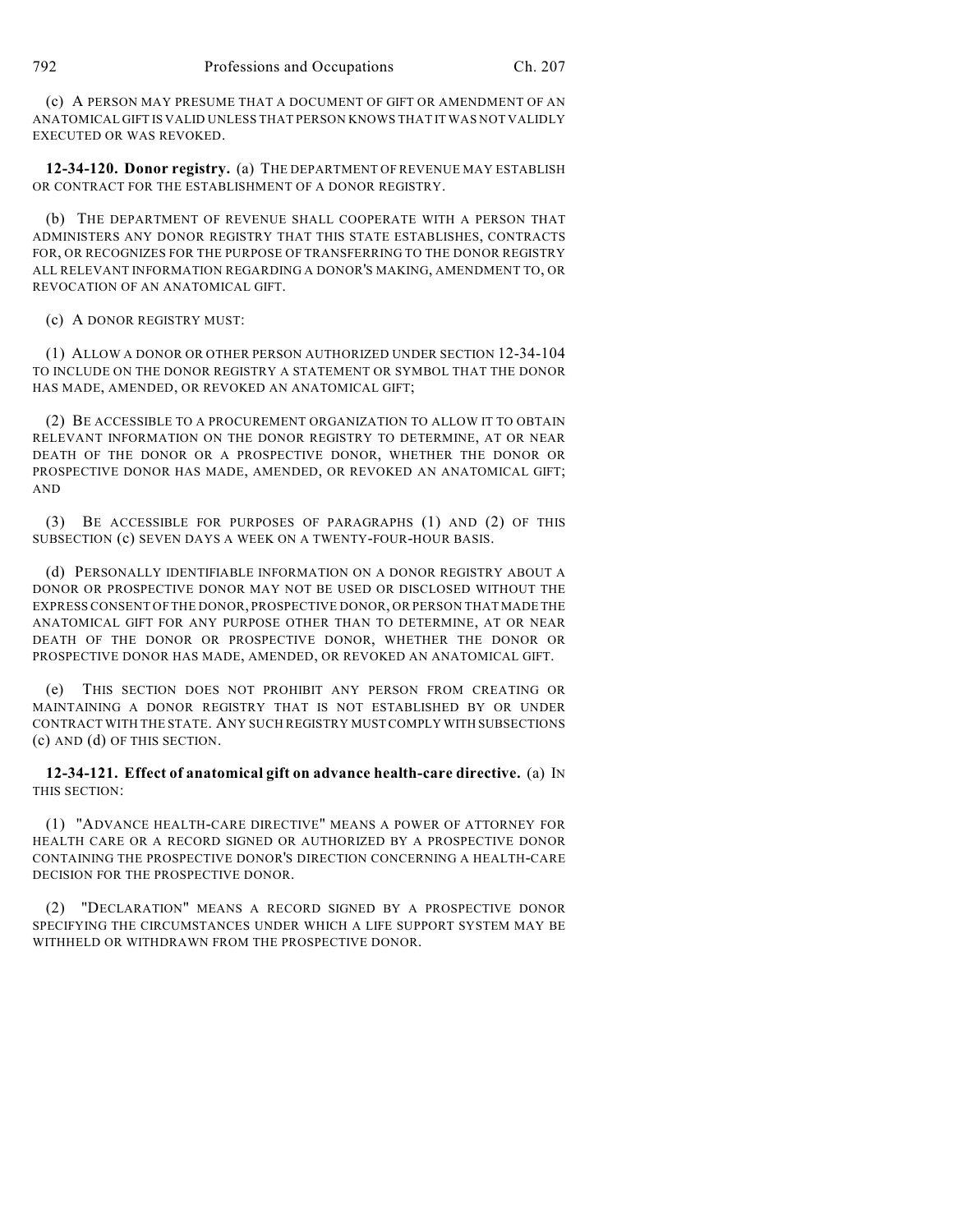(c) A PERSON MAY PRESUME THAT A DOCUMENT OF GIFT OR AMENDMENT OF AN ANATOMICAL GIFT IS VALID UNLESS THAT PERSON KNOWS THAT IT WAS NOT VALIDLY EXECUTED OR WAS REVOKED.

**12-34-120. Donor registry.** (a) THE DEPARTMENT OF REVENUE MAY ESTABLISH OR CONTRACT FOR THE ESTABLISHMENT OF A DONOR REGISTRY.

(b) THE DEPARTMENT OF REVENUE SHALL COOPERATE WITH A PERSON THAT ADMINISTERS ANY DONOR REGISTRY THAT THIS STATE ESTABLISHES, CONTRACTS FOR, OR RECOGNIZES FOR THE PURPOSE OF TRANSFERRING TO THE DONOR REGISTRY ALL RELEVANT INFORMATION REGARDING A DONOR'S MAKING, AMENDMENT TO, OR REVOCATION OF AN ANATOMICAL GIFT.

(c) A DONOR REGISTRY MUST:

(1) ALLOW A DONOR OR OTHER PERSON AUTHORIZED UNDER SECTION 12-34-104 TO INCLUDE ON THE DONOR REGISTRY A STATEMENT OR SYMBOL THAT THE DONOR HAS MADE, AMENDED, OR REVOKED AN ANATOMICAL GIFT;

(2) BE ACCESSIBLE TO A PROCUREMENT ORGANIZATION TO ALLOW IT TO OBTAIN RELEVANT INFORMATION ON THE DONOR REGISTRY TO DETERMINE, AT OR NEAR DEATH OF THE DONOR OR A PROSPECTIVE DONOR, WHETHER THE DONOR OR PROSPECTIVE DONOR HAS MADE, AMENDED, OR REVOKED AN ANATOMICAL GIFT; AND

(3) BE ACCESSIBLE FOR PURPOSES OF PARAGRAPHS (1) AND (2) OF THIS SUBSECTION (c) SEVEN DAYS A WEEK ON A TWENTY-FOUR-HOUR BASIS.

(d) PERSONALLY IDENTIFIABLE INFORMATION ON A DONOR REGISTRY ABOUT A DONOR OR PROSPECTIVE DONOR MAY NOT BE USED OR DISCLOSED WITHOUT THE EXPRESS CONSENT OF THE DONOR, PROSPECTIVE DONOR, OR PERSON THAT MADE THE ANATOMICAL GIFT FOR ANY PURPOSE OTHER THAN TO DETERMINE, AT OR NEAR DEATH OF THE DONOR OR PROSPECTIVE DONOR, WHETHER THE DONOR OR PROSPECTIVE DONOR HAS MADE, AMENDED, OR REVOKED AN ANATOMICAL GIFT.

(e) THIS SECTION DOES NOT PROHIBIT ANY PERSON FROM CREATING OR MAINTAINING A DONOR REGISTRY THAT IS NOT ESTABLISHED BY OR UNDER CONTRACT WITH THE STATE. ANY SUCH REGISTRY MUST COMPLY WITH SUBSECTIONS (c) AND (d) OF THIS SECTION.

**12-34-121. Effect of anatomical gift on advance health-care directive.** (a) IN THIS SECTION:

(1) "ADVANCE HEALTH-CARE DIRECTIVE" MEANS A POWER OF ATTORNEY FOR HEALTH CARE OR A RECORD SIGNED OR AUTHORIZED BY A PROSPECTIVE DONOR CONTAINING THE PROSPECTIVE DONOR'S DIRECTION CONCERNING A HEALTH-CARE DECISION FOR THE PROSPECTIVE DONOR.

(2) "DECLARATION" MEANS A RECORD SIGNED BY A PROSPECTIVE DONOR SPECIFYING THE CIRCUMSTANCES UNDER WHICH A LIFE SUPPORT SYSTEM MAY BE WITHHELD OR WITHDRAWN FROM THE PROSPECTIVE DONOR.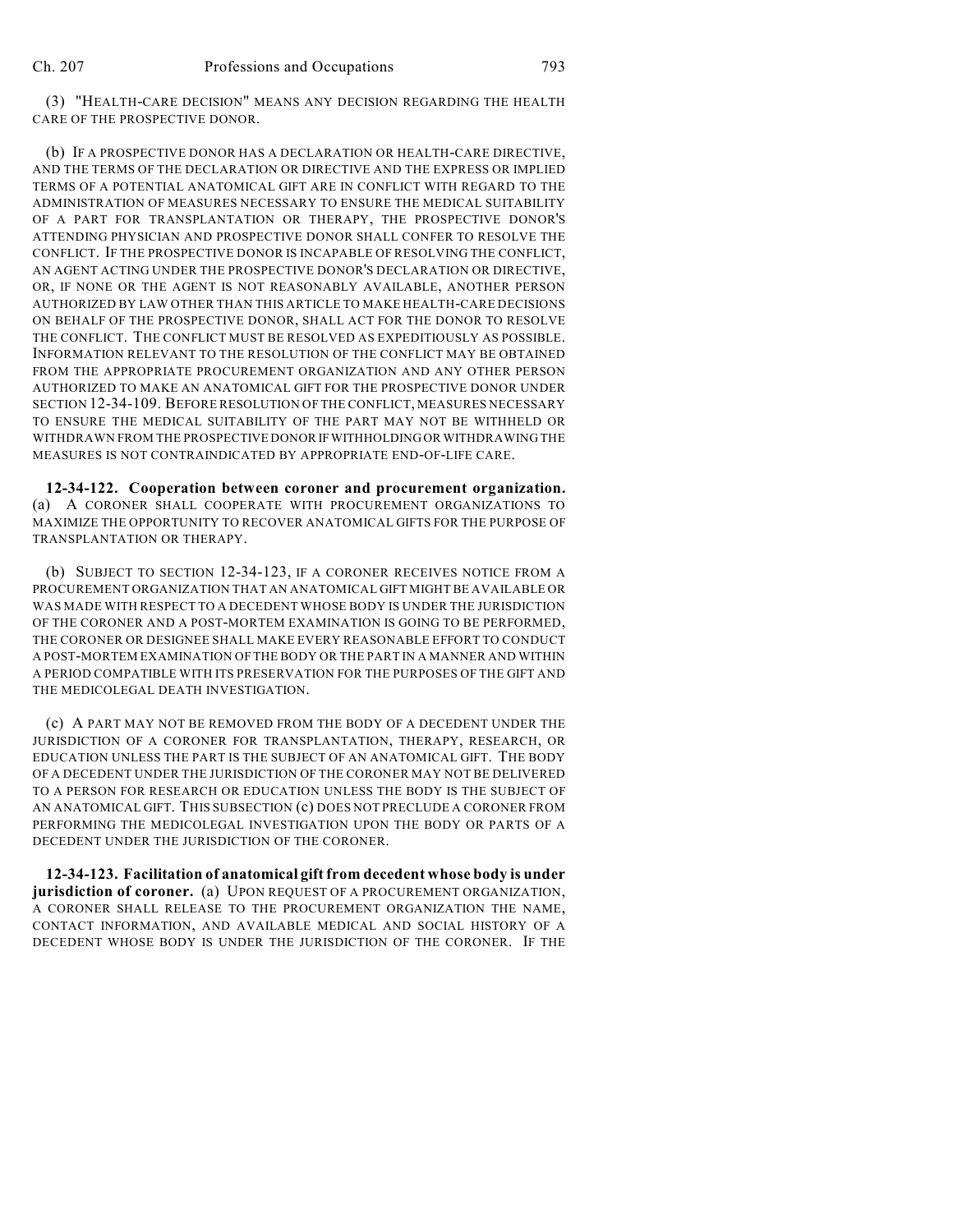(3) "HEALTH-CARE DECISION" MEANS ANY DECISION REGARDING THE HEALTH CARE OF THE PROSPECTIVE DONOR.

(b) IF A PROSPECTIVE DONOR HAS A DECLARATION OR HEALTH-CARE DIRECTIVE, AND THE TERMS OF THE DECLARATION OR DIRECTIVE AND THE EXPRESS OR IMPLIED TERMS OF A POTENTIAL ANATOMICAL GIFT ARE IN CONFLICT WITH REGARD TO THE ADMINISTRATION OF MEASURES NECESSARY TO ENSURE THE MEDICAL SUITABILITY OF A PART FOR TRANSPLANTATION OR THERAPY, THE PROSPECTIVE DONOR'S ATTENDING PHYSICIAN AND PROSPECTIVE DONOR SHALL CONFER TO RESOLVE THE CONFLICT. IF THE PROSPECTIVE DONOR IS INCAPABLE OF RESOLVING THE CONFLICT, AN AGENT ACTING UNDER THE PROSPECTIVE DONOR'S DECLARATION OR DIRECTIVE, OR, IF NONE OR THE AGENT IS NOT REASONABLY AVAILABLE, ANOTHER PERSON AUTHORIZED BY LAW OTHER THAN THIS ARTICLE TO MAKE HEALTH-CARE DECISIONS ON BEHALF OF THE PROSPECTIVE DONOR, SHALL ACT FOR THE DONOR TO RESOLVE THE CONFLICT. THE CONFLICT MUST BE RESOLVED AS EXPEDITIOUSLY AS POSSIBLE. INFORMATION RELEVANT TO THE RESOLUTION OF THE CONFLICT MAY BE OBTAINED FROM THE APPROPRIATE PROCUREMENT ORGANIZATION AND ANY OTHER PERSON AUTHORIZED TO MAKE AN ANATOMICAL GIFT FOR THE PROSPECTIVE DONOR UNDER SECTION 12-34-109. BEFORE RESOLUTION OF THE CONFLICT, MEASURES NECESSARY TO ENSURE THE MEDICAL SUITABILITY OF THE PART MAY NOT BE WITHHELD OR WITHDRAWN FROM THE PROSPECTIVE DONOR IF WITHHOLDING OR WITHDRAWING THE MEASURES IS NOT CONTRAINDICATED BY APPROPRIATE END-OF-LIFE CARE.

**12-34-122. Cooperation between coroner and procurement organization.** (a) A CORONER SHALL COOPERATE WITH PROCUREMENT ORGANIZATIONS TO MAXIMIZE THE OPPORTUNITY TO RECOVER ANATOMICAL GIFTS FOR THE PURPOSE OF TRANSPLANTATION OR THERAPY.

(b) SUBJECT TO SECTION 12-34-123, IF A CORONER RECEIVES NOTICE FROM A PROCUREMENT ORGANIZATION THAT AN ANATOMICAL GIFT MIGHT BE AVAILABLE OR WAS MADE WITH RESPECT TO A DECEDENT WHOSE BODY IS UNDER THE JURISDICTION OF THE CORONER AND A POST-MORTEM EXAMINATION IS GOING TO BE PERFORMED, THE CORONER OR DESIGNEE SHALL MAKE EVERY REASONABLE EFFORT TO CONDUCT A POST-MORTEM EXAMINATION OF THE BODY OR THE PART IN A MANNER AND WITHIN A PERIOD COMPATIBLE WITH ITS PRESERVATION FOR THE PURPOSES OF THE GIFT AND THE MEDICOLEGAL DEATH INVESTIGATION.

(c) A PART MAY NOT BE REMOVED FROM THE BODY OF A DECEDENT UNDER THE JURISDICTION OF A CORONER FOR TRANSPLANTATION, THERAPY, RESEARCH, OR EDUCATION UNLESS THE PART IS THE SUBJECT OF AN ANATOMICAL GIFT. THE BODY OF A DECEDENT UNDER THE JURISDICTION OF THE CORONER MAY NOT BE DELIVERED TO A PERSON FOR RESEARCH OR EDUCATION UNLESS THE BODY IS THE SUBJECT OF AN ANATOMICAL GIFT. THIS SUBSECTION (c) DOES NOT PRECLUDE A CORONER FROM PERFORMING THE MEDICOLEGAL INVESTIGATION UPON THE BODY OR PARTS OF A DECEDENT UNDER THE JURISDICTION OF THE CORONER.

**12-34-123. Facilitation of anatomical gift from decedent whose body is under jurisdiction of coroner.** (a) UPON REQUEST OF A PROCUREMENT ORGANIZATION, A CORONER SHALL RELEASE TO THE PROCUREMENT ORGANIZATION THE NAME, CONTACT INFORMATION, AND AVAILABLE MEDICAL AND SOCIAL HISTORY OF A DECEDENT WHOSE BODY IS UNDER THE JURISDICTION OF THE CORONER. IF THE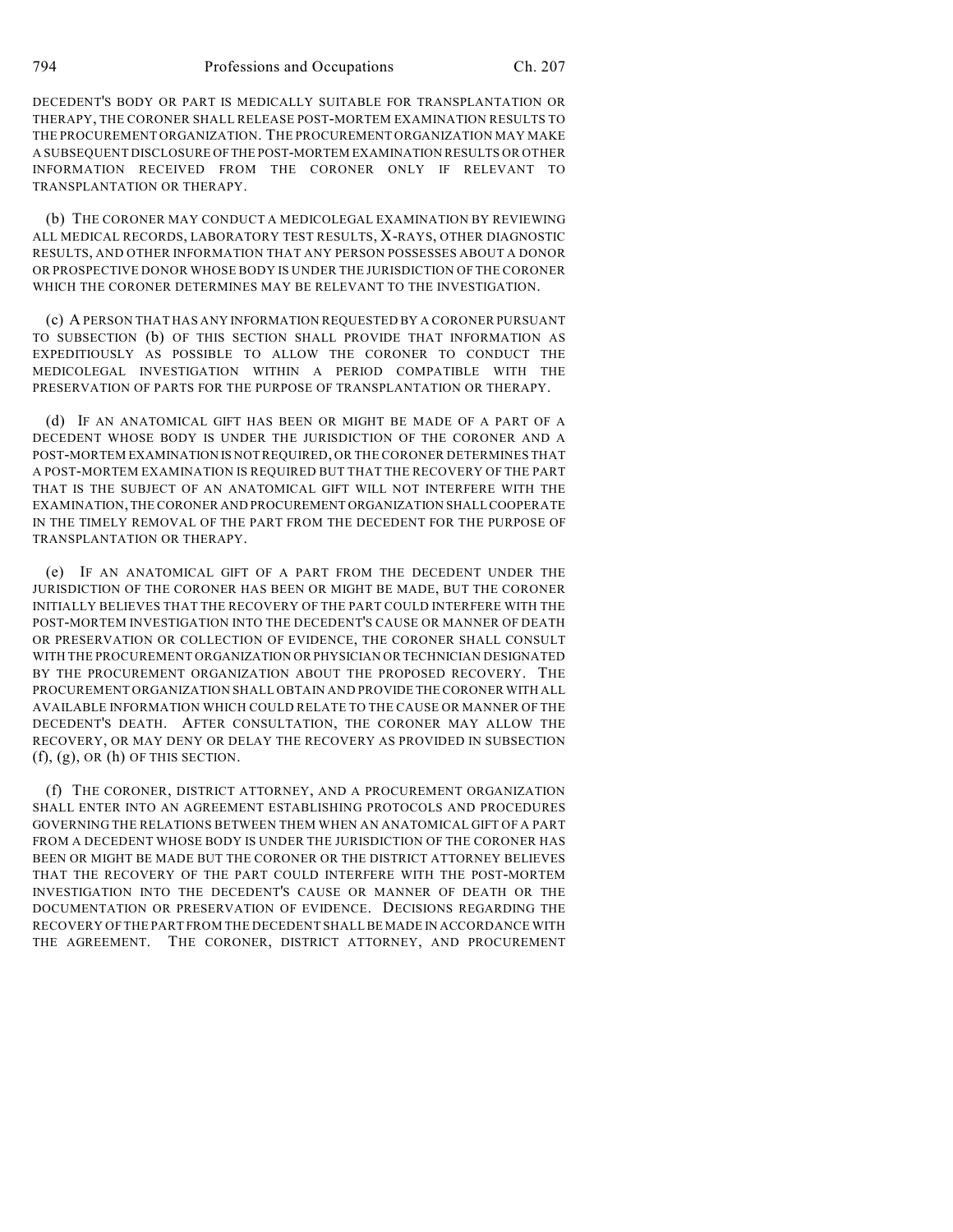794 Professions and Occupations Ch. 207

DECEDENT'S BODY OR PART IS MEDICALLY SUITABLE FOR TRANSPLANTATION OR THERAPY, THE CORONER SHALL RELEASE POST-MORTEM EXAMINATION RESULTS TO THE PROCUREMENT ORGANIZATION. THE PROCUREMENT ORGANIZATION MAY MAKE A SUBSEQUENT DISCLOSURE OF THE POST-MORTEM EXAMINATION RESULTS OR OTHER INFORMATION RECEIVED FROM THE CORONER ONLY IF RELEVANT TO TRANSPLANTATION OR THERAPY.

(b) THE CORONER MAY CONDUCT A MEDICOLEGAL EXAMINATION BY REVIEWING ALL MEDICAL RECORDS, LABORATORY TEST RESULTS, X-RAYS, OTHER DIAGNOSTIC RESULTS, AND OTHER INFORMATION THAT ANY PERSON POSSESSES ABOUT A DONOR OR PROSPECTIVE DONOR WHOSE BODY IS UNDER THE JURISDICTION OF THE CORONER WHICH THE CORONER DETERMINES MAY BE RELEVANT TO THE INVESTIGATION.

(c) A PERSON THAT HAS ANY INFORMATION REQUESTED BY A CORONER PURSUANT TO SUBSECTION (b) OF THIS SECTION SHALL PROVIDE THAT INFORMATION AS EXPEDITIOUSLY AS POSSIBLE TO ALLOW THE CORONER TO CONDUCT THE MEDICOLEGAL INVESTIGATION WITHIN A PERIOD COMPATIBLE WITH THE PRESERVATION OF PARTS FOR THE PURPOSE OF TRANSPLANTATION OR THERAPY.

(d) IF AN ANATOMICAL GIFT HAS BEEN OR MIGHT BE MADE OF A PART OF A DECEDENT WHOSE BODY IS UNDER THE JURISDICTION OF THE CORONER AND A POST-MORTEM EXAMINATION IS NOT REQUIRED, OR THE CORONER DETERMINES THAT A POST-MORTEM EXAMINATION IS REQUIRED BUT THAT THE RECOVERY OF THE PART THAT IS THE SUBJECT OF AN ANATOMICAL GIFT WILL NOT INTERFERE WITH THE EXAMINATION, THE CORONER AND PROCUREMENT ORGANIZATION SHALL COOPERATE IN THE TIMELY REMOVAL OF THE PART FROM THE DECEDENT FOR THE PURPOSE OF TRANSPLANTATION OR THERAPY.

(e) IF AN ANATOMICAL GIFT OF A PART FROM THE DECEDENT UNDER THE JURISDICTION OF THE CORONER HAS BEEN OR MIGHT BE MADE, BUT THE CORONER INITIALLY BELIEVES THAT THE RECOVERY OF THE PART COULD INTERFERE WITH THE POST-MORTEM INVESTIGATION INTO THE DECEDENT'S CAUSE OR MANNER OF DEATH OR PRESERVATION OR COLLECTION OF EVIDENCE, THE CORONER SHALL CONSULT WITH THE PROCUREMENT ORGANIZATION OR PHYSICIAN OR TECHNICIAN DESIGNATED BY THE PROCUREMENT ORGANIZATION ABOUT THE PROPOSED RECOVERY. THE PROCUREMENT ORGANIZATION SHALL OBTAIN AND PROVIDE THE CORONER WITH ALL AVAILABLE INFORMATION WHICH COULD RELATE TO THE CAUSE OR MANNER OF THE DECEDENT'S DEATH. AFTER CONSULTATION, THE CORONER MAY ALLOW THE RECOVERY, OR MAY DENY OR DELAY THE RECOVERY AS PROVIDED IN SUBSECTION  $(f)$ ,  $(g)$ , OR  $(h)$  OF THIS SECTION.

(f) THE CORONER, DISTRICT ATTORNEY, AND A PROCUREMENT ORGANIZATION SHALL ENTER INTO AN AGREEMENT ESTABLISHING PROTOCOLS AND PROCEDURES GOVERNING THE RELATIONS BETWEEN THEM WHEN AN ANATOMICAL GIFT OF A PART FROM A DECEDENT WHOSE BODY IS UNDER THE JURISDICTION OF THE CORONER HAS BEEN OR MIGHT BE MADE BUT THE CORONER OR THE DISTRICT ATTORNEY BELIEVES THAT THE RECOVERY OF THE PART COULD INTERFERE WITH THE POST-MORTEM INVESTIGATION INTO THE DECEDENT'S CAUSE OR MANNER OF DEATH OR THE DOCUMENTATION OR PRESERVATION OF EVIDENCE. DECISIONS REGARDING THE RECOVERY OF THE PART FROM THE DECEDENT SHALL BE MADE IN ACCORDANCE WITH THE AGREEMENT. THE CORONER, DISTRICT ATTORNEY, AND PROCUREMENT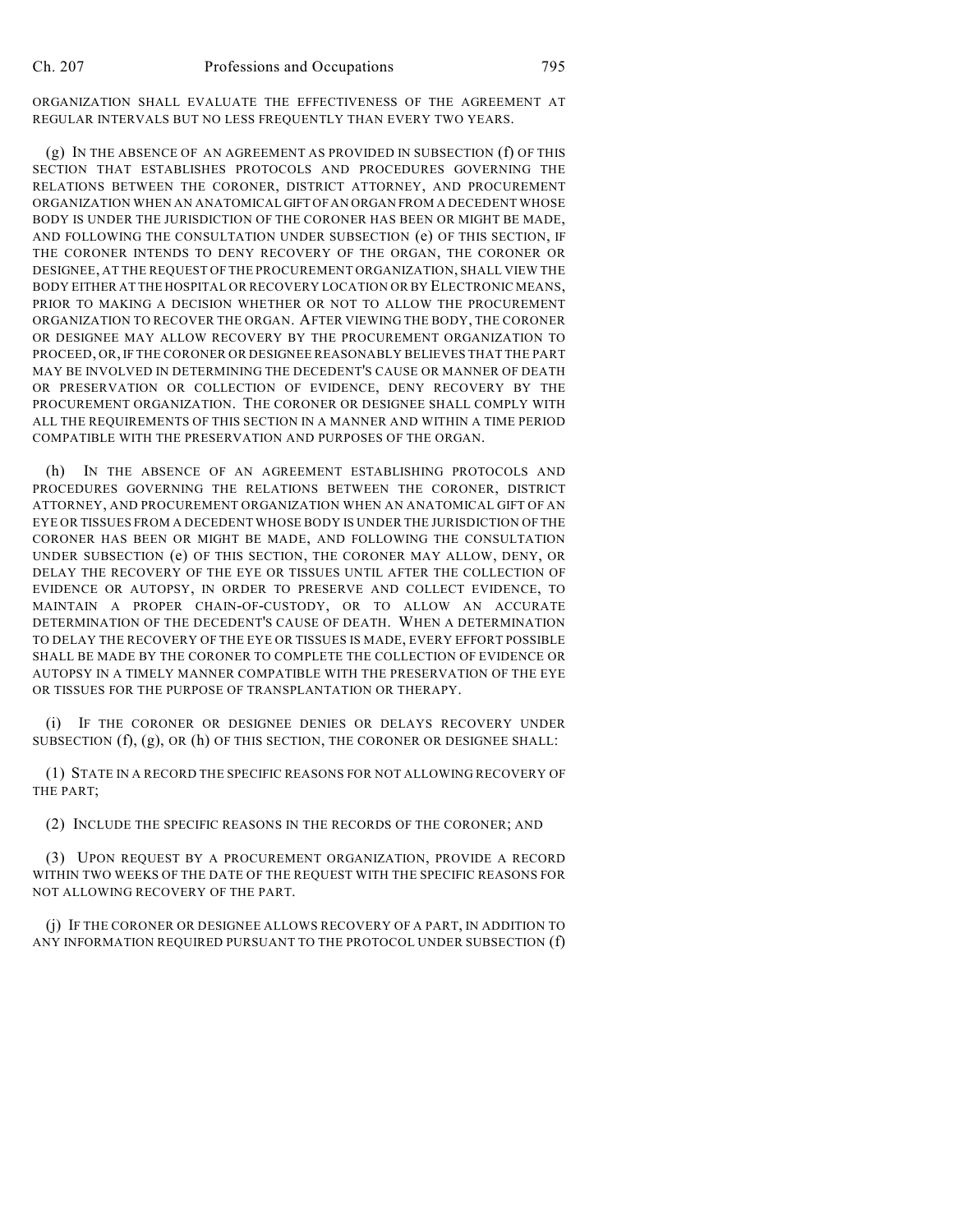ORGANIZATION SHALL EVALUATE THE EFFECTIVENESS OF THE AGREEMENT AT REGULAR INTERVALS BUT NO LESS FREQUENTLY THAN EVERY TWO YEARS.

(g) IN THE ABSENCE OF AN AGREEMENT AS PROVIDED IN SUBSECTION (f) OF THIS SECTION THAT ESTABLISHES PROTOCOLS AND PROCEDURES GOVERNING THE RELATIONS BETWEEN THE CORONER, DISTRICT ATTORNEY, AND PROCUREMENT ORGANIZATION WHEN AN ANATOMICAL GIFT OF AN ORGAN FROM A DECEDENT WHOSE BODY IS UNDER THE JURISDICTION OF THE CORONER HAS BEEN OR MIGHT BE MADE, AND FOLLOWING THE CONSULTATION UNDER SUBSECTION (e) OF THIS SECTION, IF THE CORONER INTENDS TO DENY RECOVERY OF THE ORGAN, THE CORONER OR DESIGNEE, AT THE REQUEST OF THE PROCUREMENT ORGANIZATION, SHALL VIEW THE BODY EITHER AT THE HOSPITAL OR RECOVERY LOCATION OR BY ELECTRONIC MEANS, PRIOR TO MAKING A DECISION WHETHER OR NOT TO ALLOW THE PROCUREMENT ORGANIZATION TO RECOVER THE ORGAN. AFTER VIEWING THE BODY, THE CORONER OR DESIGNEE MAY ALLOW RECOVERY BY THE PROCUREMENT ORGANIZATION TO PROCEED, OR, IF THE CORONER OR DESIGNEE REASONABLY BELIEVES THAT THE PART MAY BE INVOLVED IN DETERMINING THE DECEDENT'S CAUSE OR MANNER OF DEATH OR PRESERVATION OR COLLECTION OF EVIDENCE, DENY RECOVERY BY THE PROCUREMENT ORGANIZATION. THE CORONER OR DESIGNEE SHALL COMPLY WITH ALL THE REQUIREMENTS OF THIS SECTION IN A MANNER AND WITHIN A TIME PERIOD COMPATIBLE WITH THE PRESERVATION AND PURPOSES OF THE ORGAN.

(h) IN THE ABSENCE OF AN AGREEMENT ESTABLISHING PROTOCOLS AND PROCEDURES GOVERNING THE RELATIONS BETWEEN THE CORONER, DISTRICT ATTORNEY, AND PROCUREMENT ORGANIZATION WHEN AN ANATOMICAL GIFT OF AN EYE OR TISSUES FROM A DECEDENT WHOSE BODY IS UNDER THE JURISDICTION OF THE CORONER HAS BEEN OR MIGHT BE MADE, AND FOLLOWING THE CONSULTATION UNDER SUBSECTION (e) OF THIS SECTION, THE CORONER MAY ALLOW, DENY, OR DELAY THE RECOVERY OF THE EYE OR TISSUES UNTIL AFTER THE COLLECTION OF EVIDENCE OR AUTOPSY, IN ORDER TO PRESERVE AND COLLECT EVIDENCE, TO MAINTAIN A PROPER CHAIN-OF-CUSTODY, OR TO ALLOW AN ACCURATE DETERMINATION OF THE DECEDENT'S CAUSE OF DEATH. WHEN A DETERMINATION TO DELAY THE RECOVERY OF THE EYE OR TISSUES IS MADE, EVERY EFFORT POSSIBLE SHALL BE MADE BY THE CORONER TO COMPLETE THE COLLECTION OF EVIDENCE OR AUTOPSY IN A TIMELY MANNER COMPATIBLE WITH THE PRESERVATION OF THE EYE OR TISSUES FOR THE PURPOSE OF TRANSPLANTATION OR THERAPY.

(i) IF THE CORONER OR DESIGNEE DENIES OR DELAYS RECOVERY UNDER SUBSECTION  $(f)$ ,  $(g)$ , OR  $(h)$  OF THIS SECTION, THE CORONER OR DESIGNEE SHALL:

(1) STATE IN A RECORD THE SPECIFIC REASONS FOR NOT ALLOWING RECOVERY OF THE PART;

(2) INCLUDE THE SPECIFIC REASONS IN THE RECORDS OF THE CORONER; AND

(3) UPON REQUEST BY A PROCUREMENT ORGANIZATION, PROVIDE A RECORD WITHIN TWO WEEKS OF THE DATE OF THE REQUEST WITH THE SPECIFIC REASONS FOR NOT ALLOWING RECOVERY OF THE PART.

(j) IF THE CORONER OR DESIGNEE ALLOWS RECOVERY OF A PART, IN ADDITION TO ANY INFORMATION REQUIRED PURSUANT TO THE PROTOCOL UNDER SUBSECTION (f)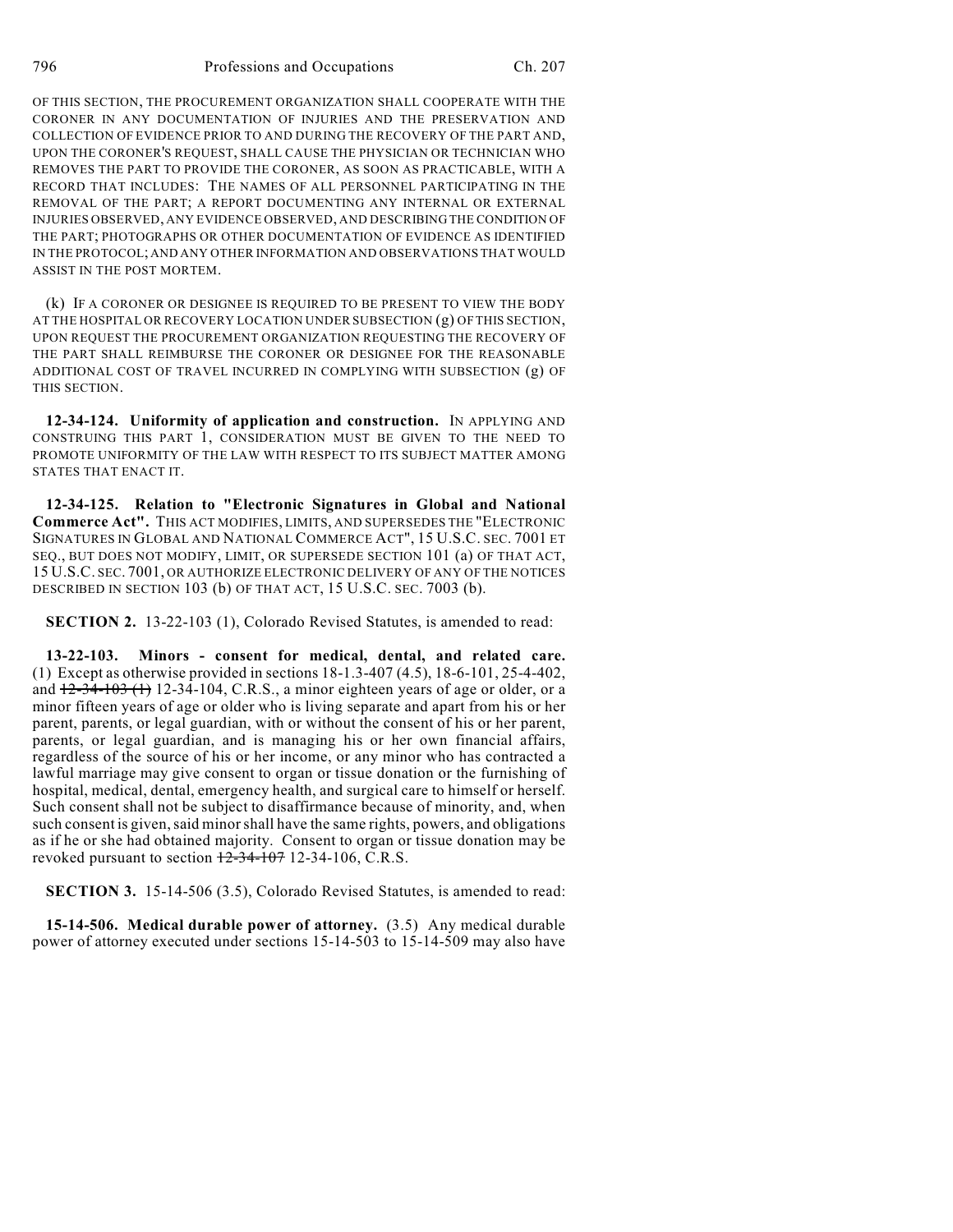OF THIS SECTION, THE PROCUREMENT ORGANIZATION SHALL COOPERATE WITH THE CORONER IN ANY DOCUMENTATION OF INJURIES AND THE PRESERVATION AND COLLECTION OF EVIDENCE PRIOR TO AND DURING THE RECOVERY OF THE PART AND, UPON THE CORONER'S REQUEST, SHALL CAUSE THE PHYSICIAN OR TECHNICIAN WHO REMOVES THE PART TO PROVIDE THE CORONER, AS SOON AS PRACTICABLE, WITH A RECORD THAT INCLUDES: THE NAMES OF ALL PERSONNEL PARTICIPATING IN THE REMOVAL OF THE PART; A REPORT DOCUMENTING ANY INTERNAL OR EXTERNAL INJURIES OBSERVED, ANY EVIDENCE OBSERVED, AND DESCRIBING THE CONDITION OF THE PART; PHOTOGRAPHS OR OTHER DOCUMENTATION OF EVIDENCE AS IDENTIFIED IN THE PROTOCOL; AND ANY OTHER INFORMATION AND OBSERVATIONS THAT WOULD ASSIST IN THE POST MORTEM.

(k) IF A CORONER OR DESIGNEE IS REQUIRED TO BE PRESENT TO VIEW THE BODY AT THE HOSPITAL OR RECOVERY LOCATION UNDER SUBSECTION (g) OFTHIS SECTION, UPON REQUEST THE PROCUREMENT ORGANIZATION REQUESTING THE RECOVERY OF THE PART SHALL REIMBURSE THE CORONER OR DESIGNEE FOR THE REASONABLE ADDITIONAL COST OF TRAVEL INCURRED IN COMPLYING WITH SUBSECTION (g) OF THIS SECTION.

**12-34-124. Uniformity of application and construction.** IN APPLYING AND CONSTRUING THIS PART 1, CONSIDERATION MUST BE GIVEN TO THE NEED TO PROMOTE UNIFORMITY OF THE LAW WITH RESPECT TO ITS SUBJECT MATTER AMONG STATES THAT ENACT IT.

**12-34-125. Relation to "Electronic Signatures in Global and National Commerce Act".** THIS ACT MODIFIES, LIMITS, AND SUPERSEDES THE "ELECTRONIC SIGNATURES IN GLOBAL AND NATIONAL COMMERCE ACT", 15 U.S.C. SEC. 7001 ET SEQ., BUT DOES NOT MODIFY, LIMIT, OR SUPERSEDE SECTION 101 (a) OF THAT ACT, 15 U.S.C. SEC. 7001, OR AUTHORIZE ELECTRONIC DELIVERY OF ANY OF THE NOTICES DESCRIBED IN SECTION 103 (b) OF THAT ACT, 15 U.S.C. SEC. 7003 (b).

**SECTION 2.** 13-22-103 (1), Colorado Revised Statutes, is amended to read:

**13-22-103. Minors - consent for medical, dental, and related care.** (1) Except as otherwise provided in sections 18-1.3-407 (4.5), 18-6-101, 25-4-402, and  $12-34-103$  (1) 12-34-104, C.R.S., a minor eighteen years of age or older, or a minor fifteen years of age or older who is living separate and apart from his or her parent, parents, or legal guardian, with or without the consent of his or her parent, parents, or legal guardian, and is managing his or her own financial affairs, regardless of the source of his or her income, or any minor who has contracted a lawful marriage may give consent to organ or tissue donation or the furnishing of hospital, medical, dental, emergency health, and surgical care to himself or herself. Such consent shall not be subject to disaffirmance because of minority, and, when such consent is given, said minor shall have the same rights, powers, and obligations as if he or she had obtained majority. Consent to organ or tissue donation may be revoked pursuant to section  $12-34-107$  12-34-106, C.R.S.

**SECTION 3.** 15-14-506 (3.5), Colorado Revised Statutes, is amended to read:

**15-14-506. Medical durable power of attorney.** (3.5) Any medical durable power of attorney executed under sections 15-14-503 to 15-14-509 may also have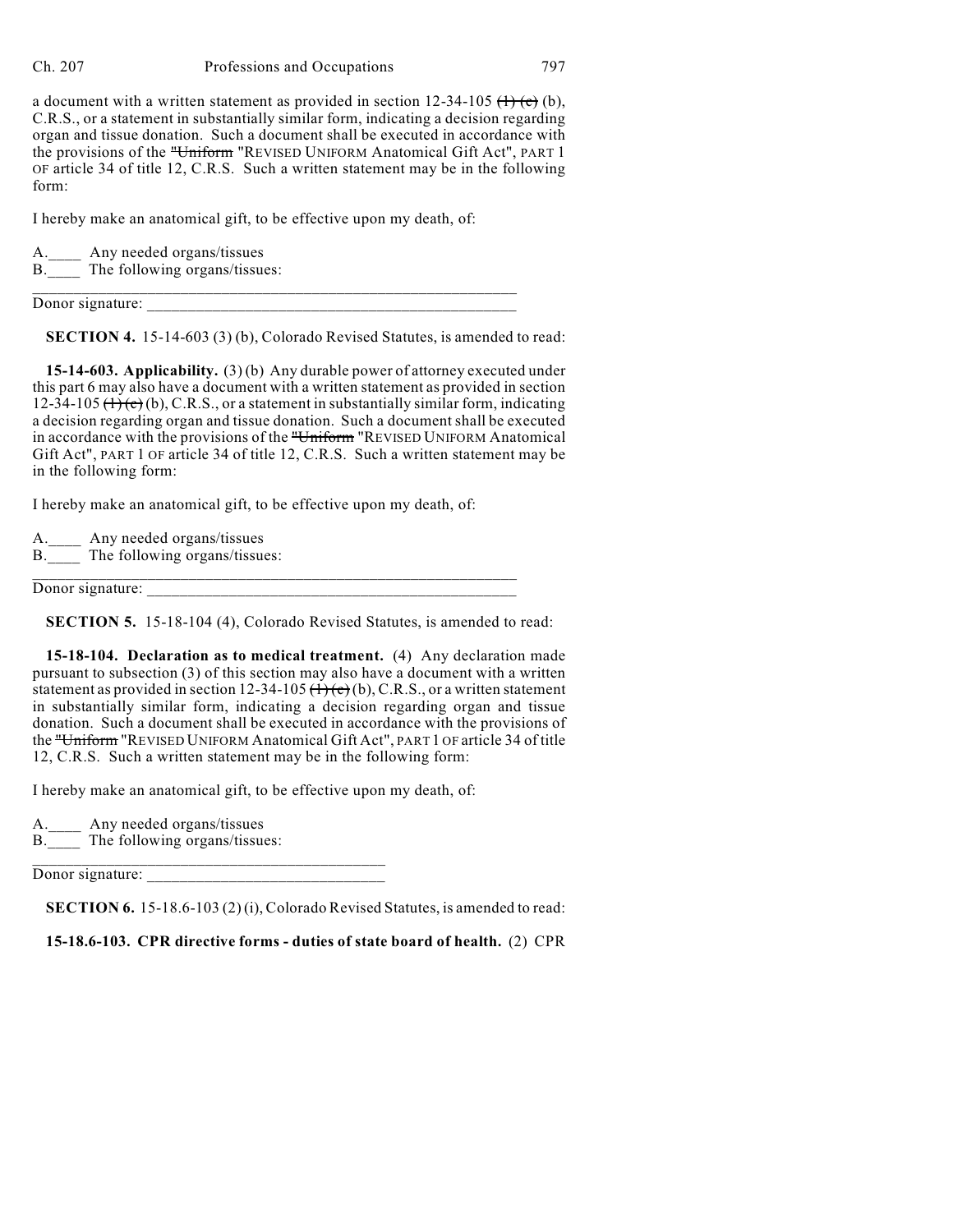a document with a written statement as provided in section  $12-34-105$  ( $\rightarrow$ ) (b), C.R.S., or a statement in substantially similar form, indicating a decision regarding organ and tissue donation. Such a document shall be executed in accordance with the provisions of the "Uniform "REVISED UNIFORM Anatomical Gift Act", PART 1 OF article 34 of title 12, C.R.S. Such a written statement may be in the following form:

I hereby make an anatomical gift, to be effective upon my death, of:

Any needed organs/tissues B. The following organs/tissues:  $\frac{1}{2}$  ,  $\frac{1}{2}$  ,  $\frac{1}{2}$  ,  $\frac{1}{2}$  ,  $\frac{1}{2}$  ,  $\frac{1}{2}$  ,  $\frac{1}{2}$  ,  $\frac{1}{2}$  ,  $\frac{1}{2}$  ,  $\frac{1}{2}$  ,  $\frac{1}{2}$  ,  $\frac{1}{2}$  ,  $\frac{1}{2}$  ,  $\frac{1}{2}$  ,  $\frac{1}{2}$  ,  $\frac{1}{2}$  ,  $\frac{1}{2}$  ,  $\frac{1}{2}$  ,  $\frac{1$ 

Donor signature:

**SECTION 4.** 15-14-603 (3) (b), Colorado Revised Statutes, is amended to read:

**15-14-603. Applicability.** (3) (b) Any durable power of attorney executed under this part 6 may also have a document with a written statement as provided in section 12-34-105  $\overline{(1)(e)}$  (b), C.R.S., or a statement in substantially similar form, indicating a decision regarding organ and tissue donation. Such a document shall be executed in accordance with the provisions of the "Uniform "REVISED UNIFORM Anatomical Gift Act", PART 1 OF article 34 of title 12, C.R.S. Such a written statement may be in the following form:

I hereby make an anatomical gift, to be effective upon my death, of:

A.\_\_\_\_ Any needed organs/tissues

B. The following organs/tissues:

\_\_\_\_\_\_\_\_\_\_\_\_\_\_\_\_\_\_\_\_\_\_\_\_\_\_\_\_\_\_\_\_\_\_\_\_\_\_\_\_\_\_\_\_\_\_\_\_\_\_\_\_\_\_\_\_\_\_\_ Donor signature: \_\_\_\_\_\_\_\_\_\_\_\_\_\_\_\_\_\_\_\_\_\_\_\_\_\_\_\_\_\_\_\_\_\_\_\_\_\_\_\_\_\_\_\_\_

**SECTION 5.** 15-18-104 (4), Colorado Revised Statutes, is amended to read:

**15-18-104. Declaration as to medical treatment.** (4) Any declaration made pursuant to subsection (3) of this section may also have a document with a written statement as provided in section 12-34-105  $(\text{+})$  (b), C.R.S., or a written statement in substantially similar form, indicating a decision regarding organ and tissue donation. Such a document shall be executed in accordance with the provisions of the "Uniform "REVISED UNIFORM Anatomical Gift Act", PART 1 OF article 34 of title 12, C.R.S. Such a written statement may be in the following form:

I hereby make an anatomical gift, to be effective upon my death, of:

 $\mathcal{L}=\mathcal{L}^{\mathcal{L}}$  , where  $\mathcal{L}^{\mathcal{L}}$  , we have the set of the set of the set of the set of the set of the set of the set of the set of the set of the set of the set of the set of the set of the set of the set of

A.\_\_\_\_ Any needed organs/tissues

B.\_\_\_\_ The following organs/tissues:

Donor signature:

**SECTION 6.** 15-18.6-103 (2) (i), Colorado Revised Statutes, is amended to read:

**15-18.6-103. CPR directive forms - duties of state board of health.** (2) CPR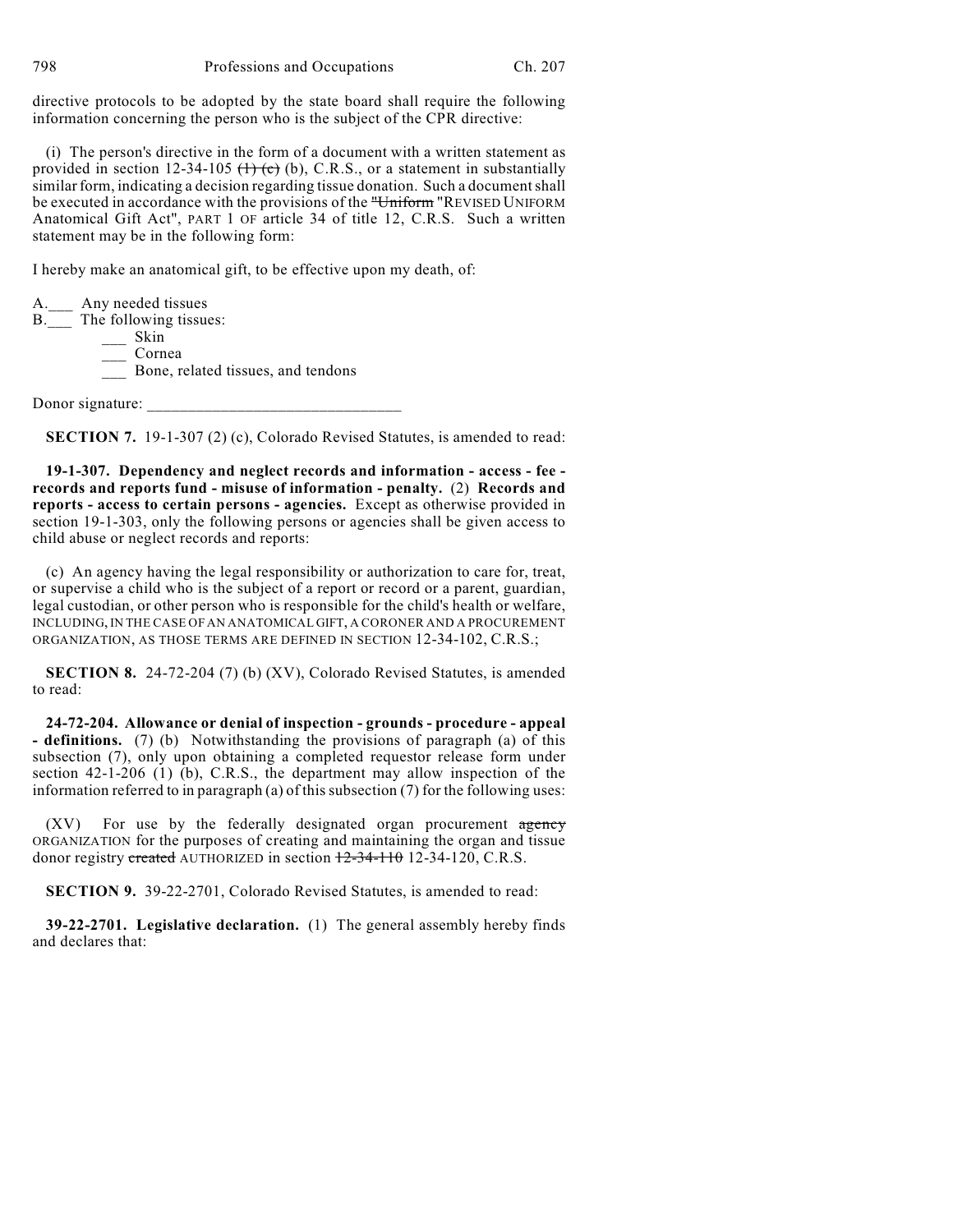directive protocols to be adopted by the state board shall require the following information concerning the person who is the subject of the CPR directive:

(i) The person's directive in the form of a document with a written statement as provided in section 12-34-105  $(1)$  (b), C.R.S., or a statement in substantially similar form, indicating a decision regarding tissue donation. Such a document shall be executed in accordance with the provisions of the "Uniform "REVISED UNIFORM Anatomical Gift Act", PART 1 OF article 34 of title 12, C.R.S. Such a written statement may be in the following form:

I hereby make an anatomical gift, to be effective upon my death, of:

A.\_\_\_ Any needed tissues

B.\_\_\_ The following tissues:

 $\frac{1}{\sqrt{2}}$  Skin \_\_\_ Cornea

\_\_\_ Bone, related tissues, and tendons

Donor signature:

**SECTION 7.** 19-1-307 (2) (c), Colorado Revised Statutes, is amended to read:

**19-1-307. Dependency and neglect records and information - access - fee records and reports fund - misuse of information - penalty.** (2) **Records and reports - access to certain persons - agencies.** Except as otherwise provided in section 19-1-303, only the following persons or agencies shall be given access to child abuse or neglect records and reports:

(c) An agency having the legal responsibility or authorization to care for, treat, or supervise a child who is the subject of a report or record or a parent, guardian, legal custodian, or other person who is responsible for the child's health or welfare, INCLUDING, IN THE CASE OF AN ANATOMICAL GIFT, A CORONER AND A PROCUREMENT ORGANIZATION, AS THOSE TERMS ARE DEFINED IN SECTION 12-34-102, C.R.S.;

**SECTION 8.** 24-72-204 (7) (b) (XV), Colorado Revised Statutes, is amended to read:

**24-72-204. Allowance or denial of inspection - grounds - procedure - appeal - definitions.** (7) (b) Notwithstanding the provisions of paragraph (a) of this subsection (7), only upon obtaining a completed requestor release form under section  $42-1-206$  (1) (b), C.R.S., the department may allow inspection of the information referred to in paragraph (a) of this subsection  $(7)$  for the following uses:

 $(XV)$  For use by the federally designated organ procurement agency ORGANIZATION for the purposes of creating and maintaining the organ and tissue donor registry created AUTHORIZED in section 12-34-110 12-34-120, C.R.S.

**SECTION 9.** 39-22-2701, Colorado Revised Statutes, is amended to read:

**39-22-2701. Legislative declaration.** (1) The general assembly hereby finds and declares that: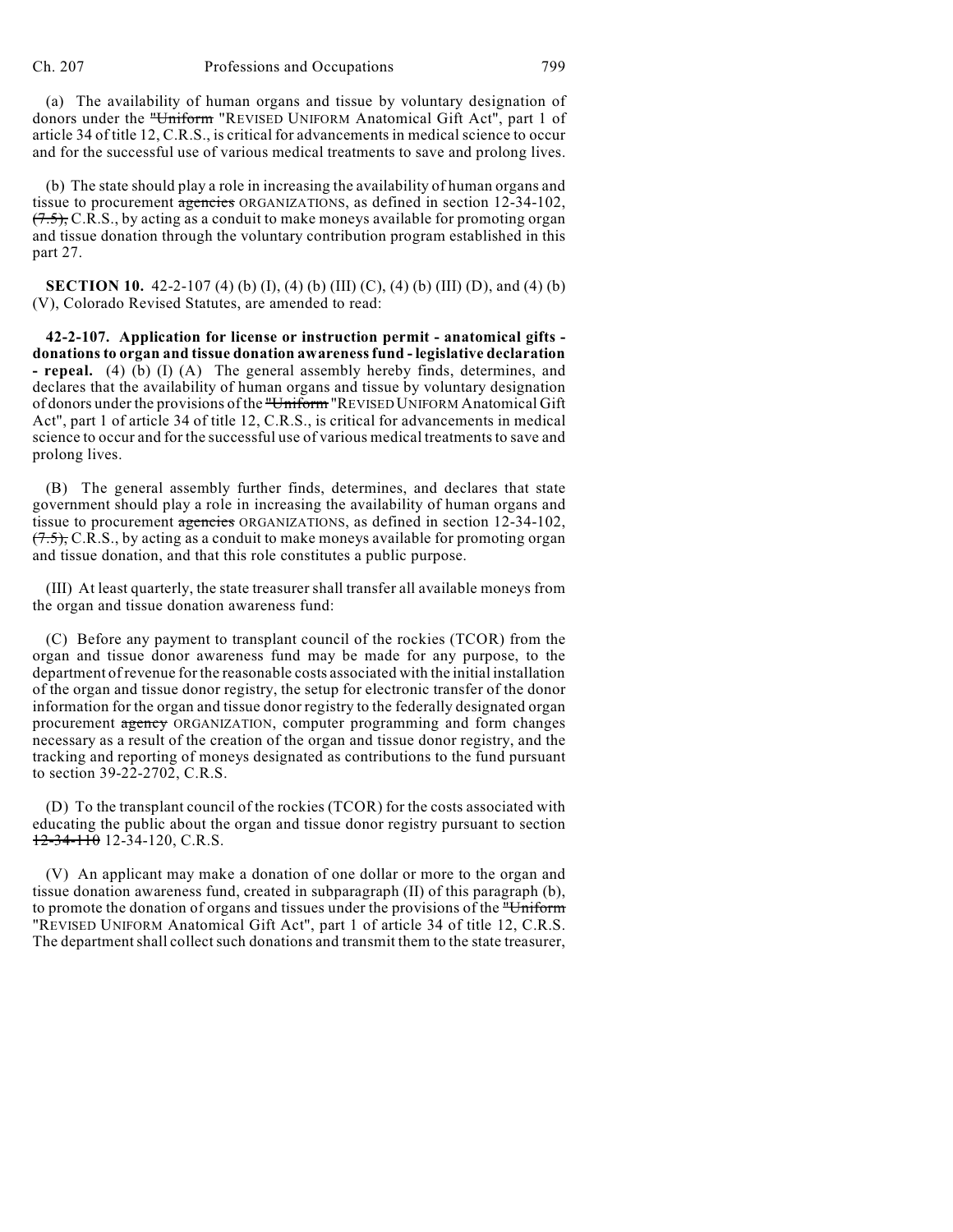(a) The availability of human organs and tissue by voluntary designation of donors under the "Uniform "REVISED UNIFORM Anatomical Gift Act", part 1 of article 34 of title 12, C.R.S., is critical for advancements in medical science to occur and for the successful use of various medical treatments to save and prolong lives.

(b) The state should play a role in increasing the availability of human organs and tissue to procurement agencies ORGANIZATIONS, as defined in section 12-34-102,  $(7.5)$ , C.R.S., by acting as a conduit to make moneys available for promoting organ and tissue donation through the voluntary contribution program established in this part 27.

**SECTION 10.** 42-2-107 (4) (b) (I), (4) (b) (III) (C), (4) (b) (III) (D), and (4) (b) (V), Colorado Revised Statutes, are amended to read:

**42-2-107. Application for license or instruction permit - anatomical gifts donations to organ and tissue donation awareness fund - legislative declaration - repeal.** (4) (b) (I) (A) The general assembly hereby finds, determines, and declares that the availability of human organs and tissue by voluntary designation of donors under the provisions of the "Uniform "REVISED UNIFORM Anatomical Gift Act", part 1 of article 34 of title 12, C.R.S., is critical for advancements in medical science to occur and for the successful use of various medical treatments to save and prolong lives.

(B) The general assembly further finds, determines, and declares that state government should play a role in increasing the availability of human organs and tissue to procurement agencies ORGANIZATIONS, as defined in section 12-34-102,  $(7.5)$ , C.R.S., by acting as a conduit to make moneys available for promoting organ and tissue donation, and that this role constitutes a public purpose.

(III) At least quarterly, the state treasurer shall transfer all available moneys from the organ and tissue donation awareness fund:

(C) Before any payment to transplant council of the rockies (TCOR) from the organ and tissue donor awareness fund may be made for any purpose, to the department of revenue for the reasonable costs associated with the initial installation of the organ and tissue donor registry, the setup for electronic transfer of the donor information for the organ and tissue donor registry to the federally designated organ procurement agency ORGANIZATION, computer programming and form changes necessary as a result of the creation of the organ and tissue donor registry, and the tracking and reporting of moneys designated as contributions to the fund pursuant to section 39-22-2702, C.R.S.

(D) To the transplant council of the rockies (TCOR) for the costs associated with educating the public about the organ and tissue donor registry pursuant to section  $12-34-110$  12-34-120, C.R.S.

(V) An applicant may make a donation of one dollar or more to the organ and tissue donation awareness fund, created in subparagraph (II) of this paragraph (b), to promote the donation of organs and tissues under the provisions of the "Uniform" "REVISED UNIFORM Anatomical Gift Act", part 1 of article 34 of title 12, C.R.S. The department shall collect such donations and transmit them to the state treasurer,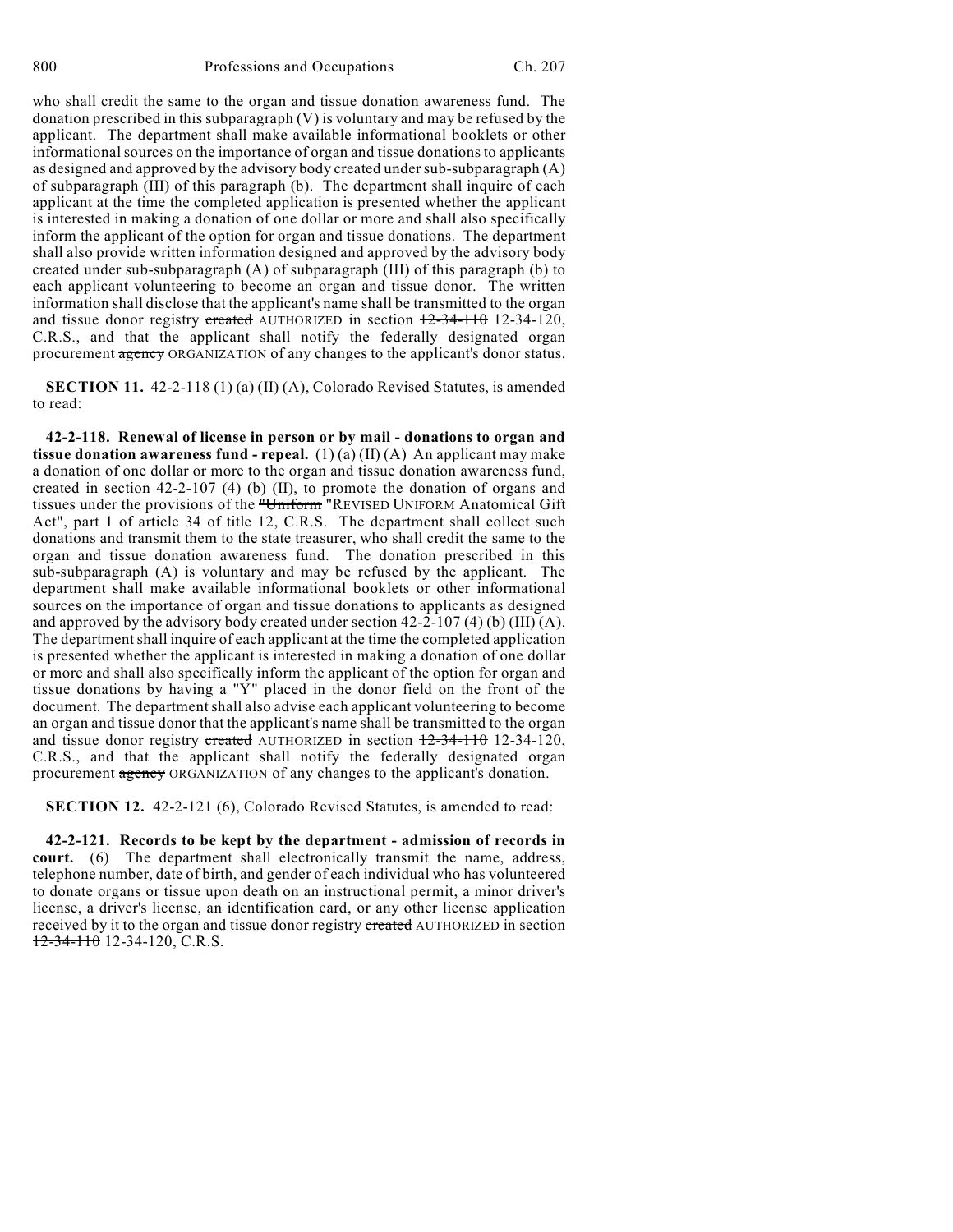who shall credit the same to the organ and tissue donation awareness fund. The donation prescribed in this subparagraph (V) is voluntary and may be refused by the applicant. The department shall make available informational booklets or other informational sources on the importance of organ and tissue donations to applicants as designed and approved by the advisory body created under sub-subparagraph (A) of subparagraph (III) of this paragraph (b). The department shall inquire of each applicant at the time the completed application is presented whether the applicant is interested in making a donation of one dollar or more and shall also specifically inform the applicant of the option for organ and tissue donations. The department shall also provide written information designed and approved by the advisory body created under sub-subparagraph  $(A)$  of subparagraph  $(III)$  of this paragraph (b) to each applicant volunteering to become an organ and tissue donor. The written information shall disclose that the applicant's name shall be transmitted to the organ and tissue donor registry created AUTHORIZED in section  $\frac{12-34-110}{2}$  12-34-120, C.R.S., and that the applicant shall notify the federally designated organ procurement agency ORGANIZATION of any changes to the applicant's donor status.

**SECTION 11.** 42-2-118 (1) (a) (II) (A), Colorado Revised Statutes, is amended to read:

**42-2-118. Renewal of license in person or by mail - donations to organ and tissue donation awareness fund - repeal.**  $(1)$  (a) (II) (A) An applicant may make a donation of one dollar or more to the organ and tissue donation awareness fund, created in section 42-2-107 (4) (b) (II), to promote the donation of organs and tissues under the provisions of the "Uniform "REVISED UNIFORM Anatomical Gift Act", part 1 of article 34 of title 12, C.R.S. The department shall collect such donations and transmit them to the state treasurer, who shall credit the same to the organ and tissue donation awareness fund. The donation prescribed in this sub-subparagraph (A) is voluntary and may be refused by the applicant. The department shall make available informational booklets or other informational sources on the importance of organ and tissue donations to applicants as designed and approved by the advisory body created under section 42-2-107 (4) (b) (III) (A). The department shall inquire of each applicant at the time the completed application is presented whether the applicant is interested in making a donation of one dollar or more and shall also specifically inform the applicant of the option for organ and tissue donations by having a "Y" placed in the donor field on the front of the document. The department shall also advise each applicant volunteering to become an organ and tissue donor that the applicant's name shall be transmitted to the organ and tissue donor registry created AUTHORIZED in section  $12-34-110$  12-34-120, C.R.S., and that the applicant shall notify the federally designated organ procurement agency ORGANIZATION of any changes to the applicant's donation.

**SECTION 12.** 42-2-121 (6), Colorado Revised Statutes, is amended to read:

**42-2-121. Records to be kept by the department - admission of records in court.** (6) The department shall electronically transmit the name, address, telephone number, date of birth, and gender of each individual who has volunteered to donate organs or tissue upon death on an instructional permit, a minor driver's license, a driver's license, an identification card, or any other license application received by it to the organ and tissue donor registry created AUTHORIZED in section  $12-34-110$  12-34-120, C.R.S.